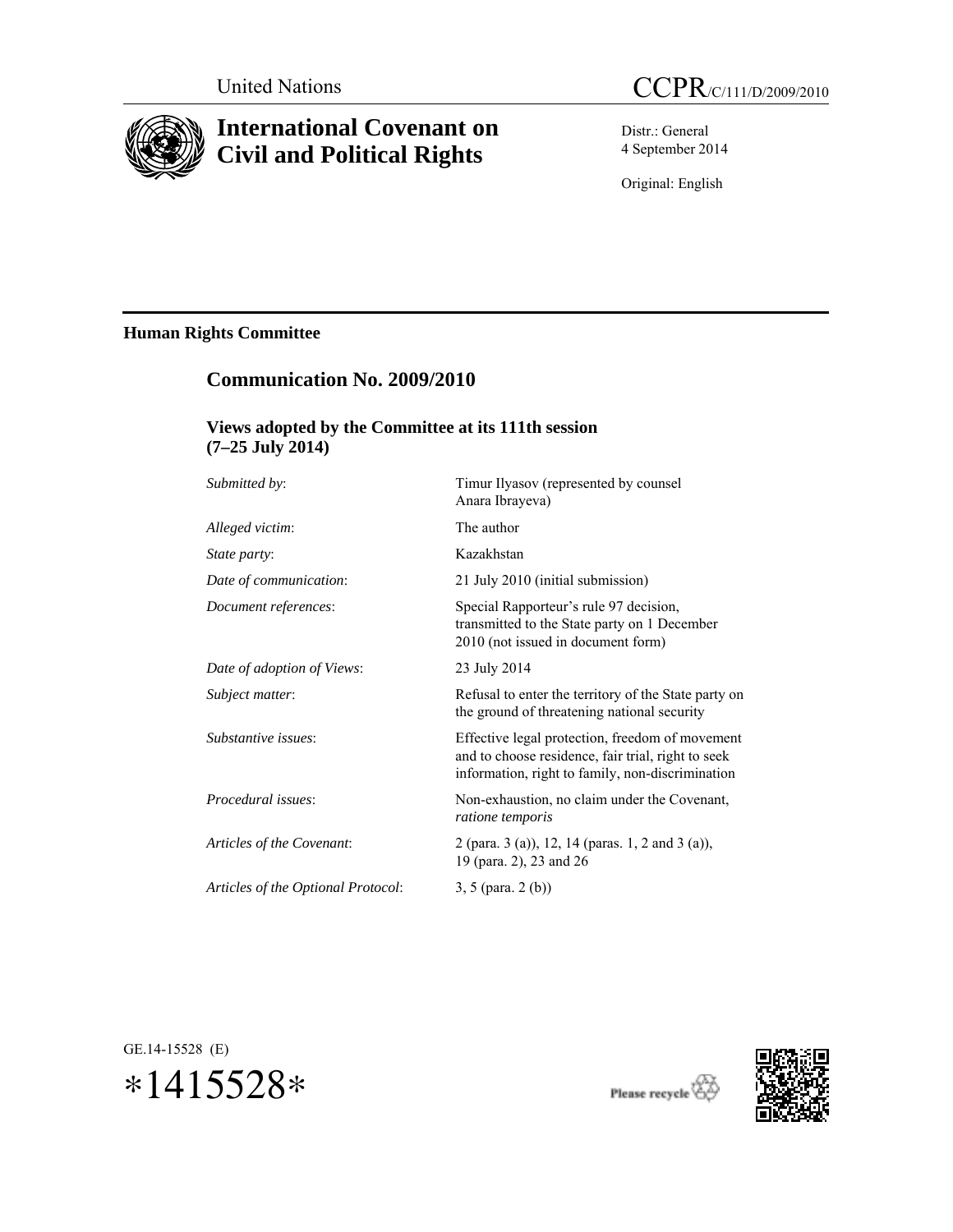

# **International Covenant on Civil and Political Rights**

Distr.: General 4 September 2014

Original: English

# **Human Rights Committee**

# **Communication No. 2009/2010**

# **Views adopted by the Committee at its 111th session (7–25 July 2014)**

| Submitted by:                      | Timur Ilyasov (represented by counsel<br>Anara Ibrayeva)                                                                                                  |
|------------------------------------|-----------------------------------------------------------------------------------------------------------------------------------------------------------|
| Alleged victim:                    | The author                                                                                                                                                |
| <i>State party:</i>                | Kazakhstan                                                                                                                                                |
| Date of communication:             | 21 July 2010 (initial submission)                                                                                                                         |
| Document references:               | Special Rapporteur's rule 97 decision,<br>transmitted to the State party on 1 December<br>2010 (not issued in document form)                              |
| Date of adoption of Views:         | 23 July 2014                                                                                                                                              |
| Subject matter:                    | Refusal to enter the territory of the State party on<br>the ground of threatening national security                                                       |
| Substantive issues:                | Effective legal protection, freedom of movement<br>and to choose residence, fair trial, right to seek<br>information, right to family, non-discrimination |
| Procedural issues:                 | Non-exhaustion, no claim under the Covenant,<br>ratione temporis                                                                                          |
| Articles of the Covenant.          | 2 (para. 3 (a)), 12, 14 (paras. 1, 2 and 3 (a)),<br>19 (para. 2), 23 and 26                                                                               |
| Articles of the Optional Protocol: | $3, 5$ (para. 2 (b))                                                                                                                                      |
|                                    |                                                                                                                                                           |





 $\label{eq:pease} {\bf Please\ recycle}\overleftrightarrow{\bf\textcircled{2}}$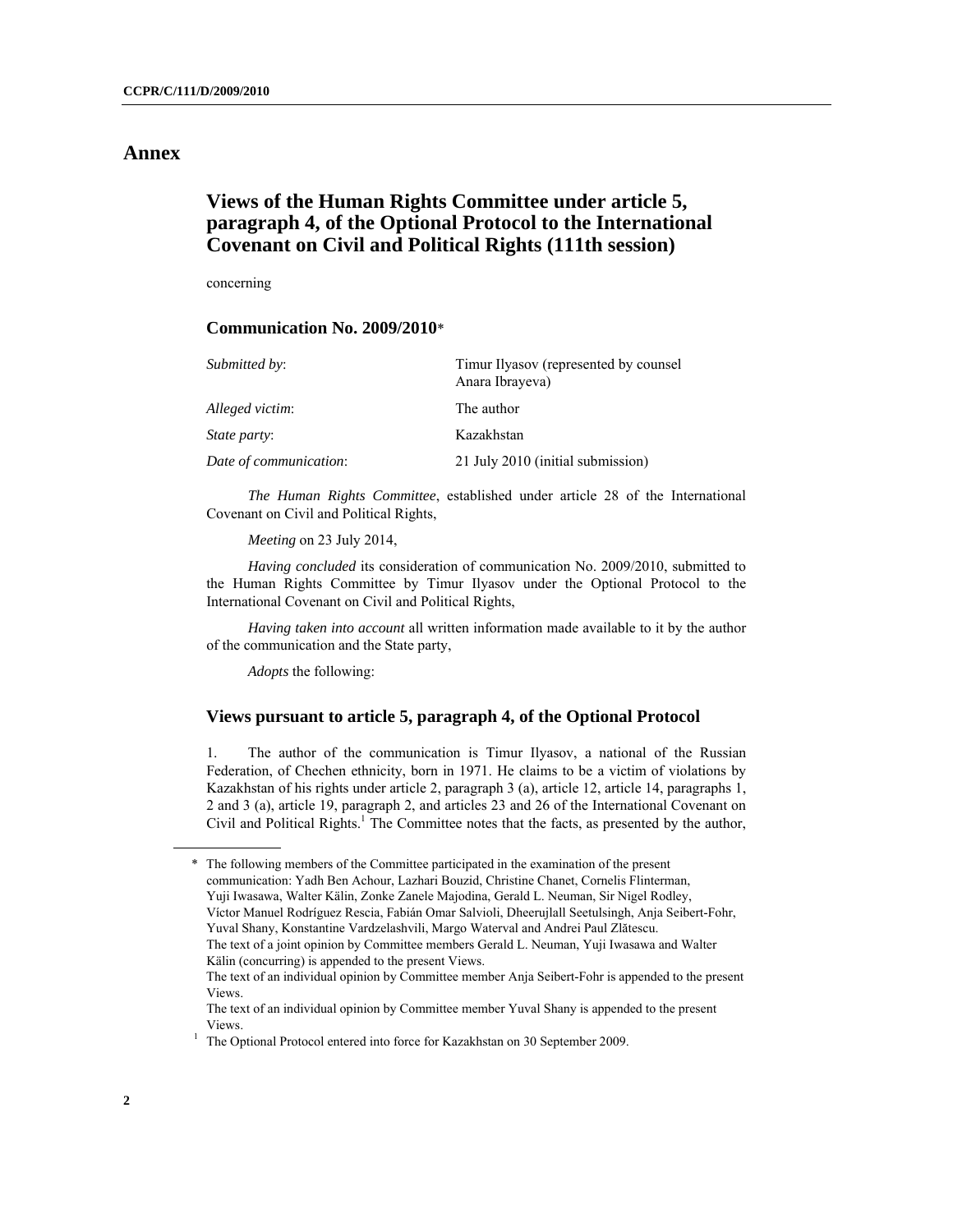## **Annex**

# **Views of the Human Rights Committee under article 5, paragraph 4, of the Optional Protocol to the International Covenant on Civil and Political Rights (111th session)**

concerning

#### **Communication No. 2009/2010**\*

| Submitted by:          | Timur Ilyasov (represented by counsel<br>Anara Ibrayeva) |
|------------------------|----------------------------------------------------------|
| Alleged victim:        | The author                                               |
| State party:           | Kazakhstan                                               |
| Date of communication: | 21 July 2010 (initial submission)                        |

 *The Human Rights Committee*, established under article 28 of the International Covenant on Civil and Political Rights,

*Meeting* on 23 July 2014,

*Having concluded* its consideration of communication No. 2009/2010, submitted to the Human Rights Committee by Timur Ilyasov under the Optional Protocol to the International Covenant on Civil and Political Rights,

*Having taken into account* all written information made available to it by the author of the communication and the State party,

*Adopts* the following:

#### **Views pursuant to article 5, paragraph 4, of the Optional Protocol**

1. The author of the communication is Timur Ilyasov, a national of the Russian Federation, of Chechen ethnicity, born in 1971. He claims to be a victim of violations by Kazakhstan of his rights under article 2, paragraph 3 (a), article 12, article 14, paragraphs 1, 2 and 3 (a), article 19, paragraph 2, and articles 23 and 26 of the International Covenant on Civil and Political Rights.<sup>1</sup> The Committee notes that the facts, as presented by the author,

\* The following members of the Committee participated in the examination of the present communication: Yadh Ben Achour, Lazhari Bouzid, Christine Chanet, Cornelis Flinterman, Yuji Iwasawa, Walter Kälin, Zonke Zanele Majodina, Gerald L. Neuman, Sir Nigel Rodley, Víctor Manuel Rodríguez Rescia, Fabián Omar Salvioli, Dheerujlall Seetulsingh, Anja Seibert-Fohr, Yuval Shany, Konstantine Vardzelashvili, Margo Waterval and Andrei Paul Zlătescu. The text of a joint opinion by Committee members Gerald L. Neuman, Yuji Iwasawa and Walter Kälin (concurring) is appended to the present Views. The text of an individual opinion by Committee member Anja Seibert-Fohr is appended to the present

Views. The text of an individual opinion by Committee member Yuval Shany is appended to the present

Views.<br><sup>1</sup> The Optional Protocol entered into force for Kazakhstan on 30 September 2009.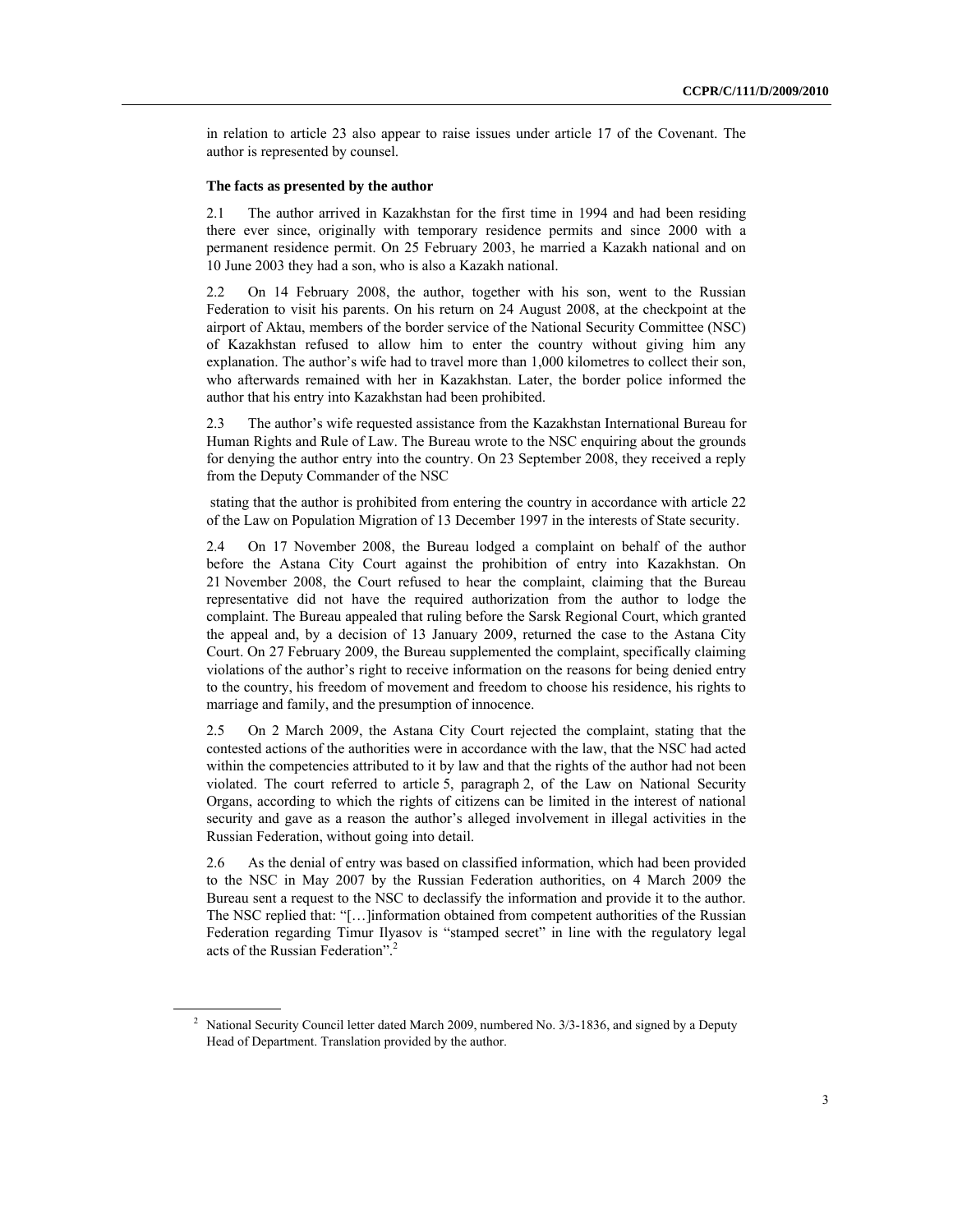in relation to article 23 also appear to raise issues under article 17 of the Covenant. The author is represented by counsel.

#### **The facts as presented by the author**

2.1 The author arrived in Kazakhstan for the first time in 1994 and had been residing there ever since, originally with temporary residence permits and since 2000 with a permanent residence permit. On 25 February 2003, he married a Kazakh national and on 10 June 2003 they had a son, who is also a Kazakh national.

2.2 On 14 February 2008, the author, together with his son, went to the Russian Federation to visit his parents. On his return on 24 August 2008, at the checkpoint at the airport of Aktau, members of the border service of the National Security Committee (NSC) of Kazakhstan refused to allow him to enter the country without giving him any explanation. The author's wife had to travel more than 1,000 kilometres to collect their son, who afterwards remained with her in Kazakhstan. Later, the border police informed the author that his entry into Kazakhstan had been prohibited.

2.3 The author's wife requested assistance from the Kazakhstan International Bureau for Human Rights and Rule of Law. The Bureau wrote to the NSC enquiring about the grounds for denying the author entry into the country. On 23 September 2008, they received a reply from the Deputy Commander of the NSC

 stating that the author is prohibited from entering the country in accordance with article 22 of the Law on Population Migration of 13 December 1997 in the interests of State security.

2.4 On 17 November 2008, the Bureau lodged a complaint on behalf of the author before the Astana City Court against the prohibition of entry into Kazakhstan. On 21 November 2008, the Court refused to hear the complaint, claiming that the Bureau representative did not have the required authorization from the author to lodge the complaint. The Bureau appealed that ruling before the Sarsk Regional Court, which granted the appeal and, by a decision of 13 January 2009, returned the case to the Astana City Court. On 27 February 2009, the Bureau supplemented the complaint, specifically claiming violations of the author's right to receive information on the reasons for being denied entry to the country, his freedom of movement and freedom to choose his residence, his rights to marriage and family, and the presumption of innocence.

2.5 On 2 March 2009, the Astana City Court rejected the complaint, stating that the contested actions of the authorities were in accordance with the law, that the NSC had acted within the competencies attributed to it by law and that the rights of the author had not been violated. The court referred to article 5, paragraph 2, of the Law on National Security Organs, according to which the rights of citizens can be limited in the interest of national security and gave as a reason the author's alleged involvement in illegal activities in the Russian Federation, without going into detail.

2.6 As the denial of entry was based on classified information, which had been provided to the NSC in May 2007 by the Russian Federation authorities, on 4 March 2009 the Bureau sent a request to the NSC to declassify the information and provide it to the author. The NSC replied that: "[…]information obtained from competent authorities of the Russian Federation regarding Timur Ilyasov is "stamped secret" in line with the regulatory legal acts of the Russian Federation".2

<sup>&</sup>lt;sup>2</sup> National Security Council letter dated March 2009, numbered No.  $3/3$ -1836, and signed by a Deputy Head of Department. Translation provided by the author.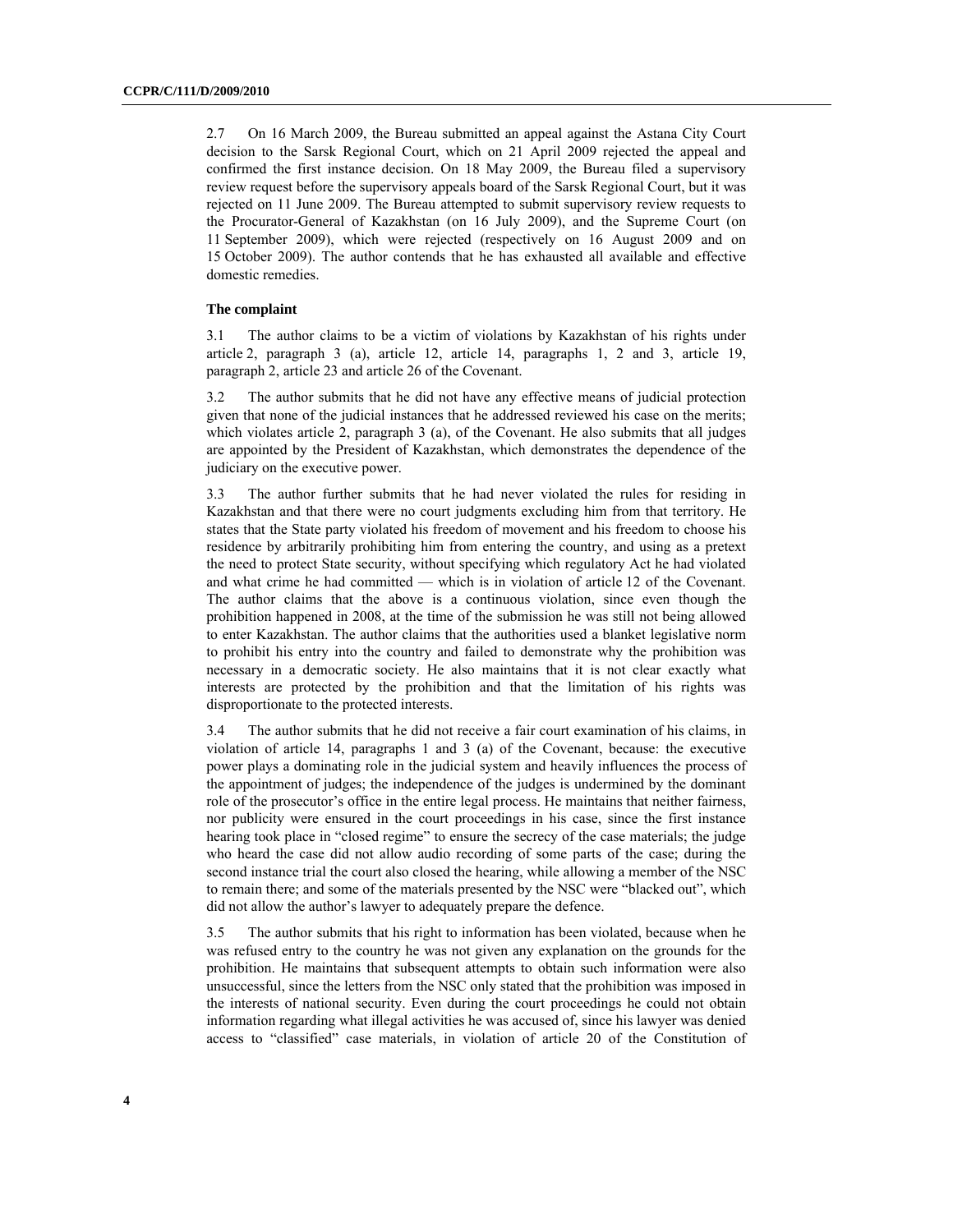2.7 On 16 March 2009, the Bureau submitted an appeal against the Astana City Court decision to the Sarsk Regional Court, which on 21 April 2009 rejected the appeal and confirmed the first instance decision. On 18 May 2009, the Bureau filed a supervisory review request before the supervisory appeals board of the Sarsk Regional Court, but it was rejected on 11 June 2009. The Bureau attempted to submit supervisory review requests to the Procurator-General of Kazakhstan (on 16 July 2009), and the Supreme Court (on 11 September 2009), which were rejected (respectively on 16 August 2009 and on 15 October 2009). The author contends that he has exhausted all available and effective domestic remedies.

#### **The complaint**

3.1 The author claims to be a victim of violations by Kazakhstan of his rights under article 2, paragraph 3 (a), article 12, article 14, paragraphs 1, 2 and 3, article 19, paragraph 2, article 23 and article 26 of the Covenant.

3.2 The author submits that he did not have any effective means of judicial protection given that none of the judicial instances that he addressed reviewed his case on the merits; which violates article 2, paragraph 3 (a), of the Covenant. He also submits that all judges are appointed by the President of Kazakhstan, which demonstrates the dependence of the judiciary on the executive power.

3.3 The author further submits that he had never violated the rules for residing in Kazakhstan and that there were no court judgments excluding him from that territory. He states that the State party violated his freedom of movement and his freedom to choose his residence by arbitrarily prohibiting him from entering the country, and using as a pretext the need to protect State security, without specifying which regulatory Act he had violated and what crime he had committed — which is in violation of article 12 of the Covenant. The author claims that the above is a continuous violation, since even though the prohibition happened in 2008, at the time of the submission he was still not being allowed to enter Kazakhstan. The author claims that the authorities used a blanket legislative norm to prohibit his entry into the country and failed to demonstrate why the prohibition was necessary in a democratic society. He also maintains that it is not clear exactly what interests are protected by the prohibition and that the limitation of his rights was disproportionate to the protected interests.

3.4 The author submits that he did not receive a fair court examination of his claims, in violation of article 14, paragraphs 1 and 3 (a) of the Covenant, because: the executive power plays a dominating role in the judicial system and heavily influences the process of the appointment of judges; the independence of the judges is undermined by the dominant role of the prosecutor's office in the entire legal process. He maintains that neither fairness, nor publicity were ensured in the court proceedings in his case, since the first instance hearing took place in "closed regime" to ensure the secrecy of the case materials; the judge who heard the case did not allow audio recording of some parts of the case; during the second instance trial the court also closed the hearing, while allowing a member of the NSC to remain there; and some of the materials presented by the NSC were "blacked out", which did not allow the author's lawyer to adequately prepare the defence.

3.5 The author submits that his right to information has been violated, because when he was refused entry to the country he was not given any explanation on the grounds for the prohibition. He maintains that subsequent attempts to obtain such information were also unsuccessful, since the letters from the NSC only stated that the prohibition was imposed in the interests of national security. Even during the court proceedings he could not obtain information regarding what illegal activities he was accused of, since his lawyer was denied access to "classified" case materials, in violation of article 20 of the Constitution of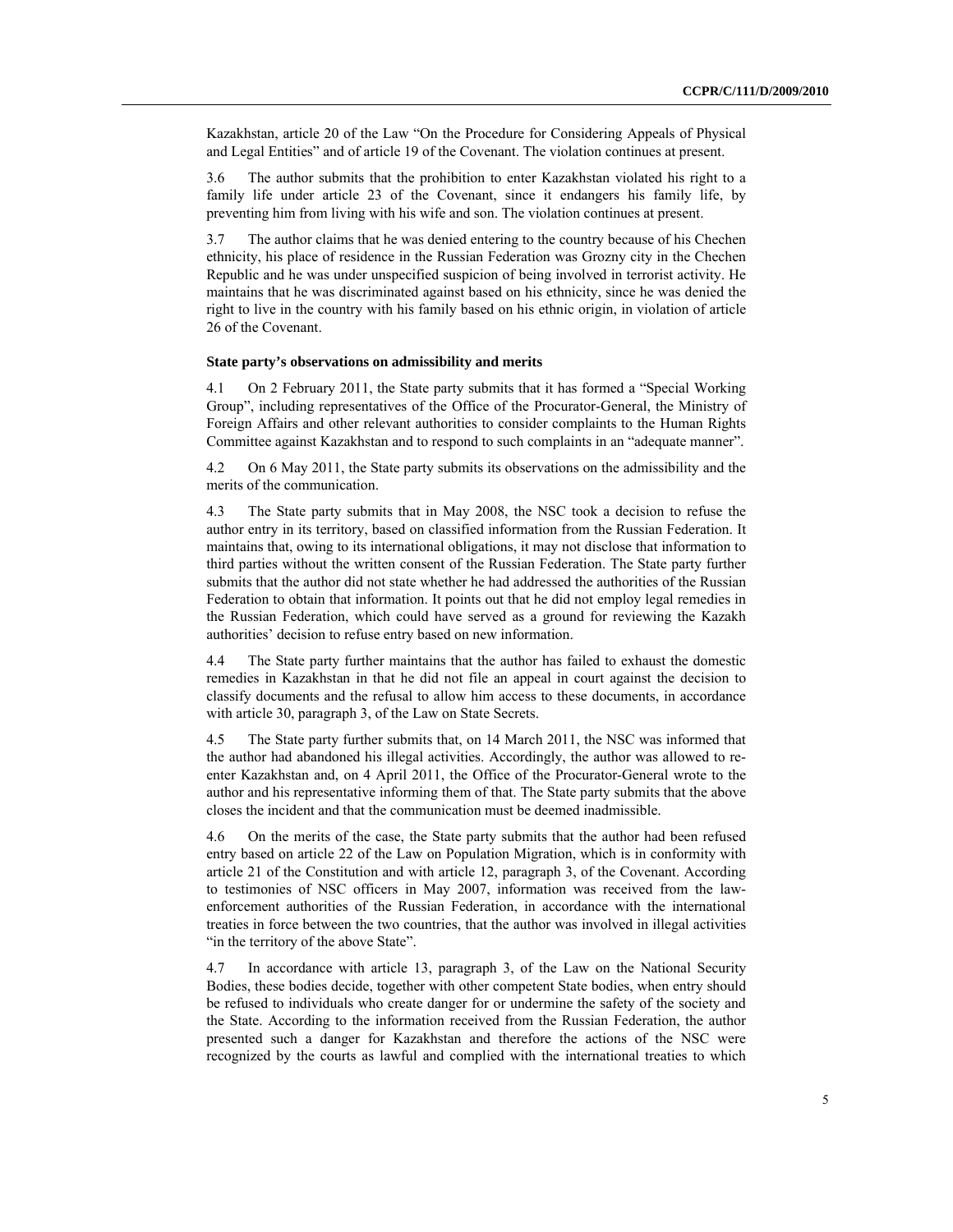Kazakhstan, article 20 of the Law "On the Procedure for Considering Appeals of Physical and Legal Entities" and of article 19 of the Covenant. The violation continues at present.

3.6 The author submits that the prohibition to enter Kazakhstan violated his right to a family life under article 23 of the Covenant, since it endangers his family life, by preventing him from living with his wife and son. The violation continues at present.

3.7 The author claims that he was denied entering to the country because of his Chechen ethnicity, his place of residence in the Russian Federation was Grozny city in the Chechen Republic and he was under unspecified suspicion of being involved in terrorist activity. He maintains that he was discriminated against based on his ethnicity, since he was denied the right to live in the country with his family based on his ethnic origin, in violation of article 26 of the Covenant.

#### **State party's observations on admissibility and merits**

4.1 On 2 February 2011, the State party submits that it has formed a "Special Working Group", including representatives of the Office of the Procurator-General, the Ministry of Foreign Affairs and other relevant authorities to consider complaints to the Human Rights Committee against Kazakhstan and to respond to such complaints in an "adequate manner".

4.2 On 6 May 2011, the State party submits its observations on the admissibility and the merits of the communication.

4.3 The State party submits that in May 2008, the NSC took a decision to refuse the author entry in its territory, based on classified information from the Russian Federation. It maintains that, owing to its international obligations, it may not disclose that information to third parties without the written consent of the Russian Federation. The State party further submits that the author did not state whether he had addressed the authorities of the Russian Federation to obtain that information. It points out that he did not employ legal remedies in the Russian Federation, which could have served as a ground for reviewing the Kazakh authorities' decision to refuse entry based on new information.

4.4 The State party further maintains that the author has failed to exhaust the domestic remedies in Kazakhstan in that he did not file an appeal in court against the decision to classify documents and the refusal to allow him access to these documents, in accordance with article 30, paragraph 3, of the Law on State Secrets.

4.5 The State party further submits that, on 14 March 2011, the NSC was informed that the author had abandoned his illegal activities. Accordingly, the author was allowed to reenter Kazakhstan and, on 4 April 2011, the Office of the Procurator-General wrote to the author and his representative informing them of that. The State party submits that the above closes the incident and that the communication must be deemed inadmissible.

4.6 On the merits of the case, the State party submits that the author had been refused entry based on article 22 of the Law on Population Migration, which is in conformity with article 21 of the Constitution and with article 12, paragraph 3, of the Covenant. According to testimonies of NSC officers in May 2007, information was received from the lawenforcement authorities of the Russian Federation, in accordance with the international treaties in force between the two countries, that the author was involved in illegal activities "in the territory of the above State".

4.7 In accordance with article 13, paragraph 3, of the Law on the National Security Bodies, these bodies decide, together with other competent State bodies, when entry should be refused to individuals who create danger for or undermine the safety of the society and the State. According to the information received from the Russian Federation, the author presented such a danger for Kazakhstan and therefore the actions of the NSC were recognized by the courts as lawful and complied with the international treaties to which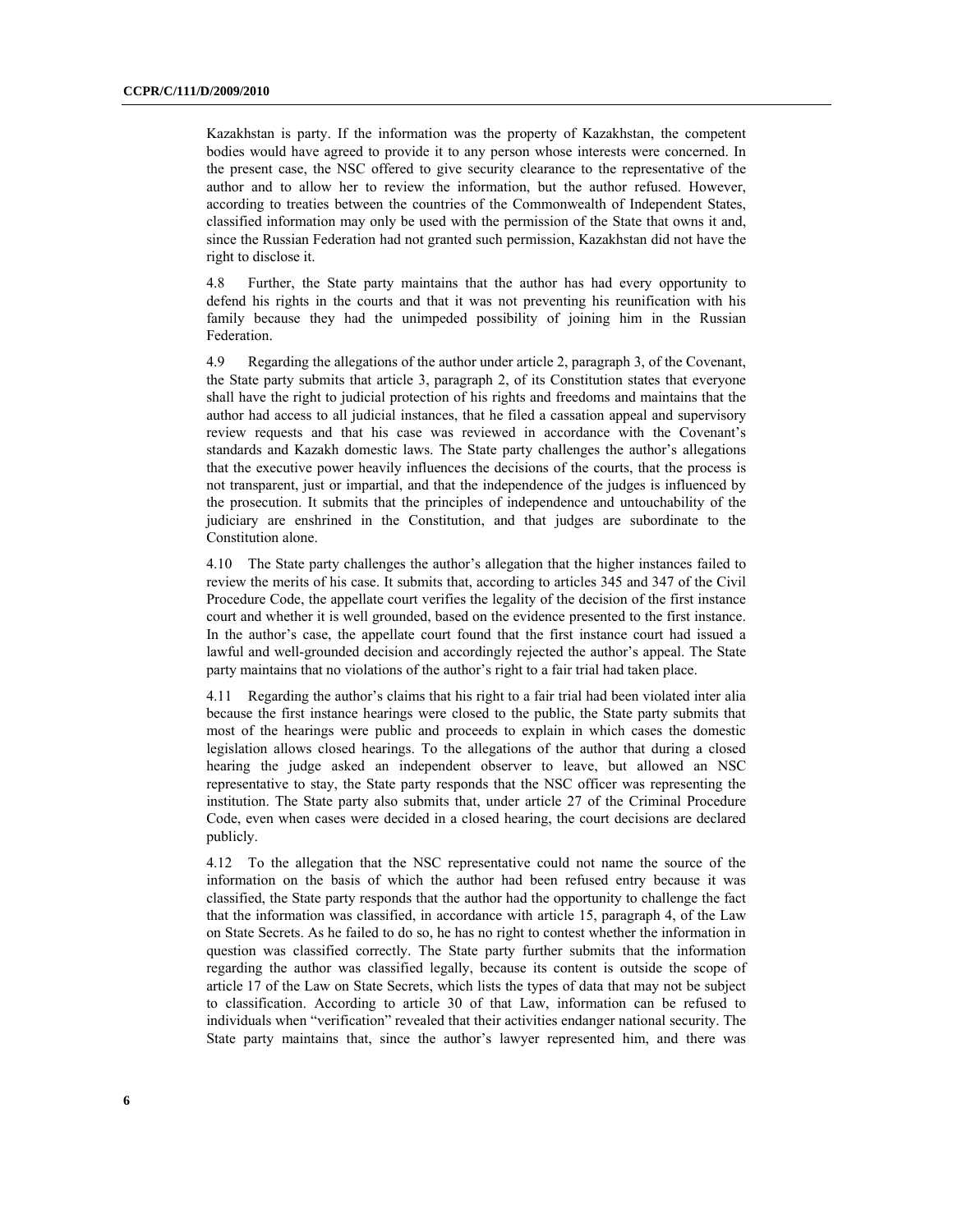Kazakhstan is party. If the information was the property of Kazakhstan, the competent bodies would have agreed to provide it to any person whose interests were concerned. In the present case, the NSC offered to give security clearance to the representative of the author and to allow her to review the information, but the author refused. However, according to treaties between the countries of the Commonwealth of Independent States, classified information may only be used with the permission of the State that owns it and, since the Russian Federation had not granted such permission, Kazakhstan did not have the right to disclose it.

4.8 Further, the State party maintains that the author has had every opportunity to defend his rights in the courts and that it was not preventing his reunification with his family because they had the unimpeded possibility of joining him in the Russian Federation.

4.9 Regarding the allegations of the author under article 2, paragraph 3, of the Covenant, the State party submits that article 3, paragraph 2, of its Constitution states that everyone shall have the right to judicial protection of his rights and freedoms and maintains that the author had access to all judicial instances, that he filed a cassation appeal and supervisory review requests and that his case was reviewed in accordance with the Covenant's standards and Kazakh domestic laws. The State party challenges the author's allegations that the executive power heavily influences the decisions of the courts, that the process is not transparent, just or impartial, and that the independence of the judges is influenced by the prosecution. It submits that the principles of independence and untouchability of the judiciary are enshrined in the Constitution, and that judges are subordinate to the Constitution alone.

4.10 The State party challenges the author's allegation that the higher instances failed to review the merits of his case. It submits that, according to articles 345 and 347 of the Civil Procedure Code, the appellate court verifies the legality of the decision of the first instance court and whether it is well grounded, based on the evidence presented to the first instance. In the author's case, the appellate court found that the first instance court had issued a lawful and well-grounded decision and accordingly rejected the author's appeal. The State party maintains that no violations of the author's right to a fair trial had taken place.

4.11 Regarding the author's claims that his right to a fair trial had been violated inter alia because the first instance hearings were closed to the public, the State party submits that most of the hearings were public and proceeds to explain in which cases the domestic legislation allows closed hearings. To the allegations of the author that during a closed hearing the judge asked an independent observer to leave, but allowed an NSC representative to stay, the State party responds that the NSC officer was representing the institution. The State party also submits that, under article 27 of the Criminal Procedure Code, even when cases were decided in a closed hearing, the court decisions are declared publicly.

4.12 To the allegation that the NSC representative could not name the source of the information on the basis of which the author had been refused entry because it was classified, the State party responds that the author had the opportunity to challenge the fact that the information was classified, in accordance with article 15, paragraph 4, of the Law on State Secrets. As he failed to do so, he has no right to contest whether the information in question was classified correctly. The State party further submits that the information regarding the author was classified legally, because its content is outside the scope of article 17 of the Law on State Secrets, which lists the types of data that may not be subject to classification. According to article 30 of that Law, information can be refused to individuals when "verification" revealed that their activities endanger national security. The State party maintains that, since the author's lawyer represented him, and there was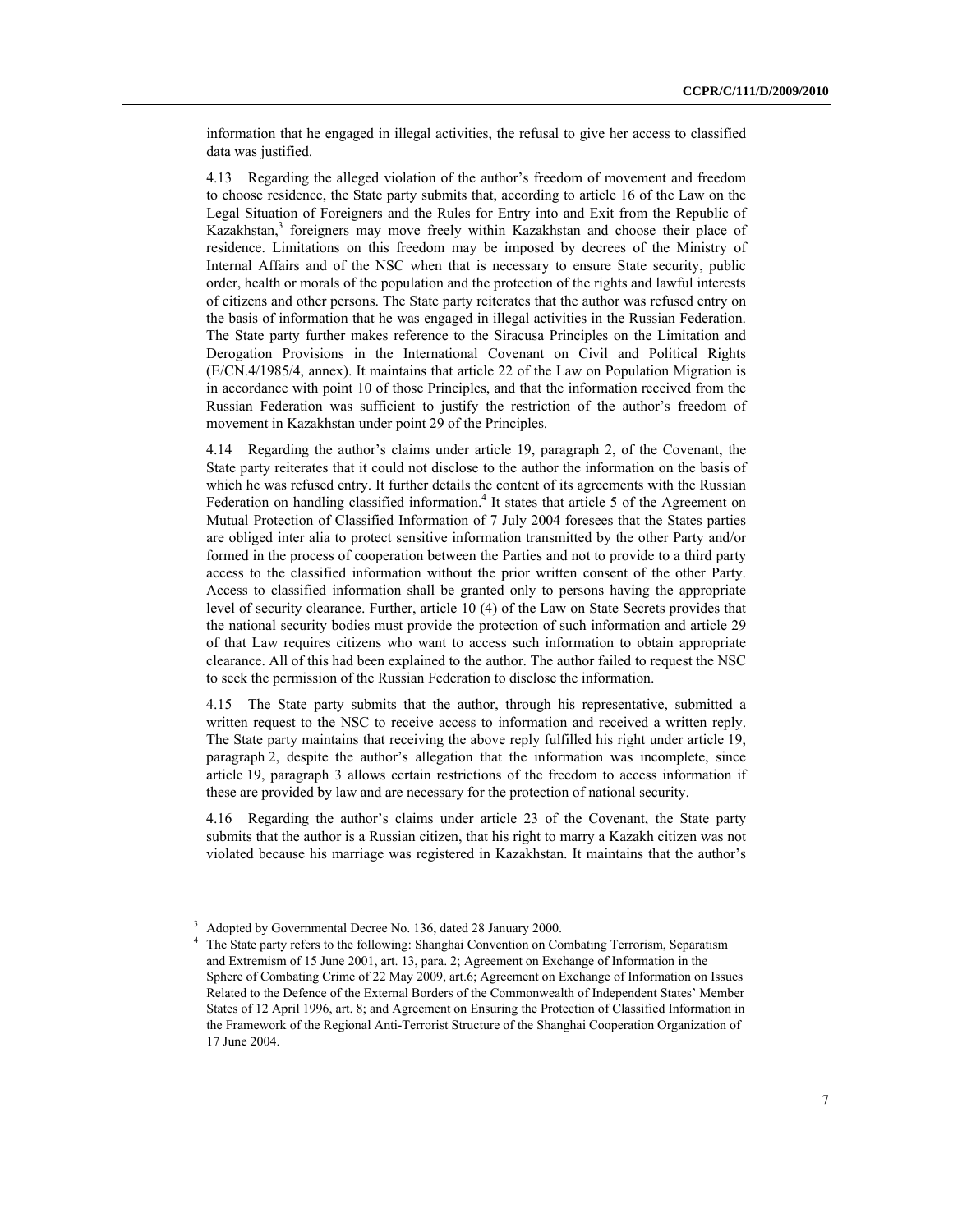information that he engaged in illegal activities, the refusal to give her access to classified data was justified.

4.13 Regarding the alleged violation of the author's freedom of movement and freedom to choose residence, the State party submits that, according to article 16 of the Law on the Legal Situation of Foreigners and the Rules for Entry into and Exit from the Republic of Kazakhstan,<sup>3</sup> foreigners may move freely within Kazakhstan and choose their place of residence. Limitations on this freedom may be imposed by decrees of the Ministry of Internal Affairs and of the NSC when that is necessary to ensure State security, public order, health or morals of the population and the protection of the rights and lawful interests of citizens and other persons. The State party reiterates that the author was refused entry on the basis of information that he was engaged in illegal activities in the Russian Federation. The State party further makes reference to the Siracusa Principles on the Limitation and Derogation Provisions in the International Covenant on Civil and Political Rights (E/CN.4/1985/4, annex). It maintains that article 22 of the Law on Population Migration is in accordance with point 10 of those Principles, and that the information received from the Russian Federation was sufficient to justify the restriction of the author's freedom of movement in Kazakhstan under point 29 of the Principles.

4.14 Regarding the author's claims under article 19, paragraph 2, of the Covenant, the State party reiterates that it could not disclose to the author the information on the basis of which he was refused entry. It further details the content of its agreements with the Russian Federation on handling classified information.<sup>4</sup> It states that article 5 of the Agreement on Mutual Protection of Classified Information of 7 July 2004 foresees that the States parties are obliged inter alia to protect sensitive information transmitted by the other Party and/or formed in the process of cooperation between the Parties and not to provide to a third party access to the classified information without the prior written consent of the other Party. Access to classified information shall be granted only to persons having the appropriate level of security clearance. Further, article 10 (4) of the Law on State Secrets provides that the national security bodies must provide the protection of such information and article 29 of that Law requires citizens who want to access such information to obtain appropriate clearance. All of this had been explained to the author. The author failed to request the NSC to seek the permission of the Russian Federation to disclose the information.

4.15 The State party submits that the author, through his representative, submitted a written request to the NSC to receive access to information and received a written reply. The State party maintains that receiving the above reply fulfilled his right under article 19, paragraph 2, despite the author's allegation that the information was incomplete, since article 19, paragraph 3 allows certain restrictions of the freedom to access information if these are provided by law and are necessary for the protection of national security.

4.16 Regarding the author's claims under article 23 of the Covenant, the State party submits that the author is a Russian citizen, that his right to marry a Kazakh citizen was not violated because his marriage was registered in Kazakhstan. It maintains that the author's

<sup>3</sup> Adopted by Governmental Decree No. 136, dated 28 January 2000.

<sup>4</sup> The State party refers to the following: Shanghai Convention on Combating Terrorism, Separatism and Extremism of 15 June 2001, art. 13, para. 2; Agreement on Exchange of Information in the Sphere of Combating Crime of 22 May 2009, art.6; Agreement on Exchange of Information on Issues Related to the Defence of the External Borders of the Commonwealth of Independent States' Member States of 12 April 1996, art. 8; and Agreement on Ensuring the Protection of Classified Information in the Framework of the Regional Anti-Terrorist Structure of the Shanghai Cooperation Organization of 17 June 2004.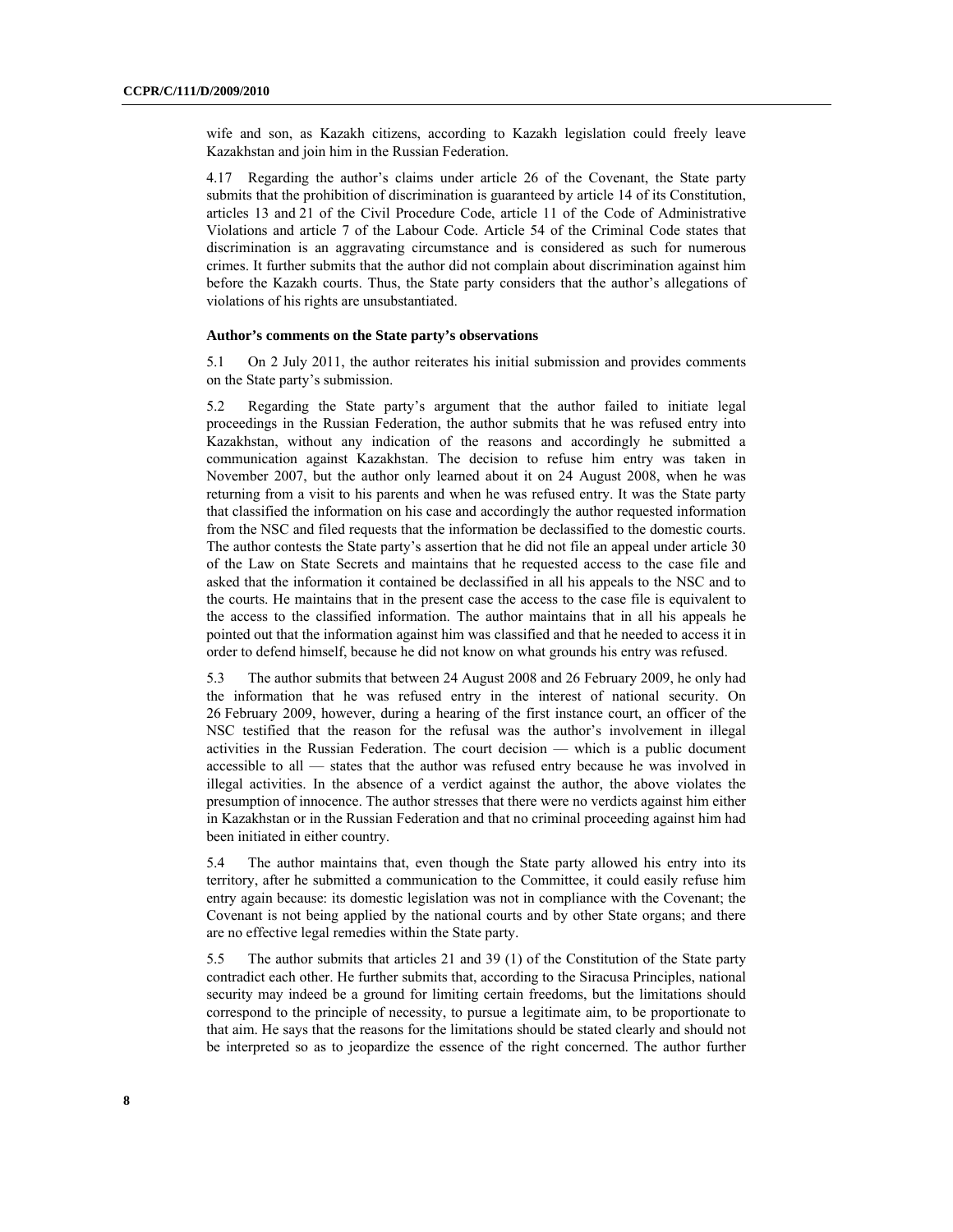wife and son, as Kazakh citizens, according to Kazakh legislation could freely leave Kazakhstan and join him in the Russian Federation.

4.17 Regarding the author's claims under article 26 of the Covenant, the State party submits that the prohibition of discrimination is guaranteed by article 14 of its Constitution, articles 13 and 21 of the Civil Procedure Code, article 11 of the Code of Administrative Violations and article 7 of the Labour Code. Article 54 of the Criminal Code states that discrimination is an aggravating circumstance and is considered as such for numerous crimes. It further submits that the author did not complain about discrimination against him before the Kazakh courts. Thus, the State party considers that the author's allegations of violations of his rights are unsubstantiated.

#### **Author's comments on the State party's observations**

5.1 On 2 July 2011, the author reiterates his initial submission and provides comments on the State party's submission.

5.2 Regarding the State party's argument that the author failed to initiate legal proceedings in the Russian Federation, the author submits that he was refused entry into Kazakhstan, without any indication of the reasons and accordingly he submitted a communication against Kazakhstan. The decision to refuse him entry was taken in November 2007, but the author only learned about it on 24 August 2008, when he was returning from a visit to his parents and when he was refused entry. It was the State party that classified the information on his case and accordingly the author requested information from the NSC and filed requests that the information be declassified to the domestic courts. The author contests the State party's assertion that he did not file an appeal under article 30 of the Law on State Secrets and maintains that he requested access to the case file and asked that the information it contained be declassified in all his appeals to the NSC and to the courts. He maintains that in the present case the access to the case file is equivalent to the access to the classified information. The author maintains that in all his appeals he pointed out that the information against him was classified and that he needed to access it in order to defend himself, because he did not know on what grounds his entry was refused.

5.3 The author submits that between 24 August 2008 and 26 February 2009, he only had the information that he was refused entry in the interest of national security. On 26 February 2009, however, during a hearing of the first instance court, an officer of the NSC testified that the reason for the refusal was the author's involvement in illegal activities in the Russian Federation. The court decision — which is a public document accessible to all — states that the author was refused entry because he was involved in illegal activities. In the absence of a verdict against the author, the above violates the presumption of innocence. The author stresses that there were no verdicts against him either in Kazakhstan or in the Russian Federation and that no criminal proceeding against him had been initiated in either country.

5.4 The author maintains that, even though the State party allowed his entry into its territory, after he submitted a communication to the Committee, it could easily refuse him entry again because: its domestic legislation was not in compliance with the Covenant; the Covenant is not being applied by the national courts and by other State organs; and there are no effective legal remedies within the State party.

5.5 The author submits that articles 21 and 39 (1) of the Constitution of the State party contradict each other. He further submits that, according to the Siracusa Principles, national security may indeed be a ground for limiting certain freedoms, but the limitations should correspond to the principle of necessity, to pursue a legitimate aim, to be proportionate to that aim. He says that the reasons for the limitations should be stated clearly and should not be interpreted so as to jeopardize the essence of the right concerned. The author further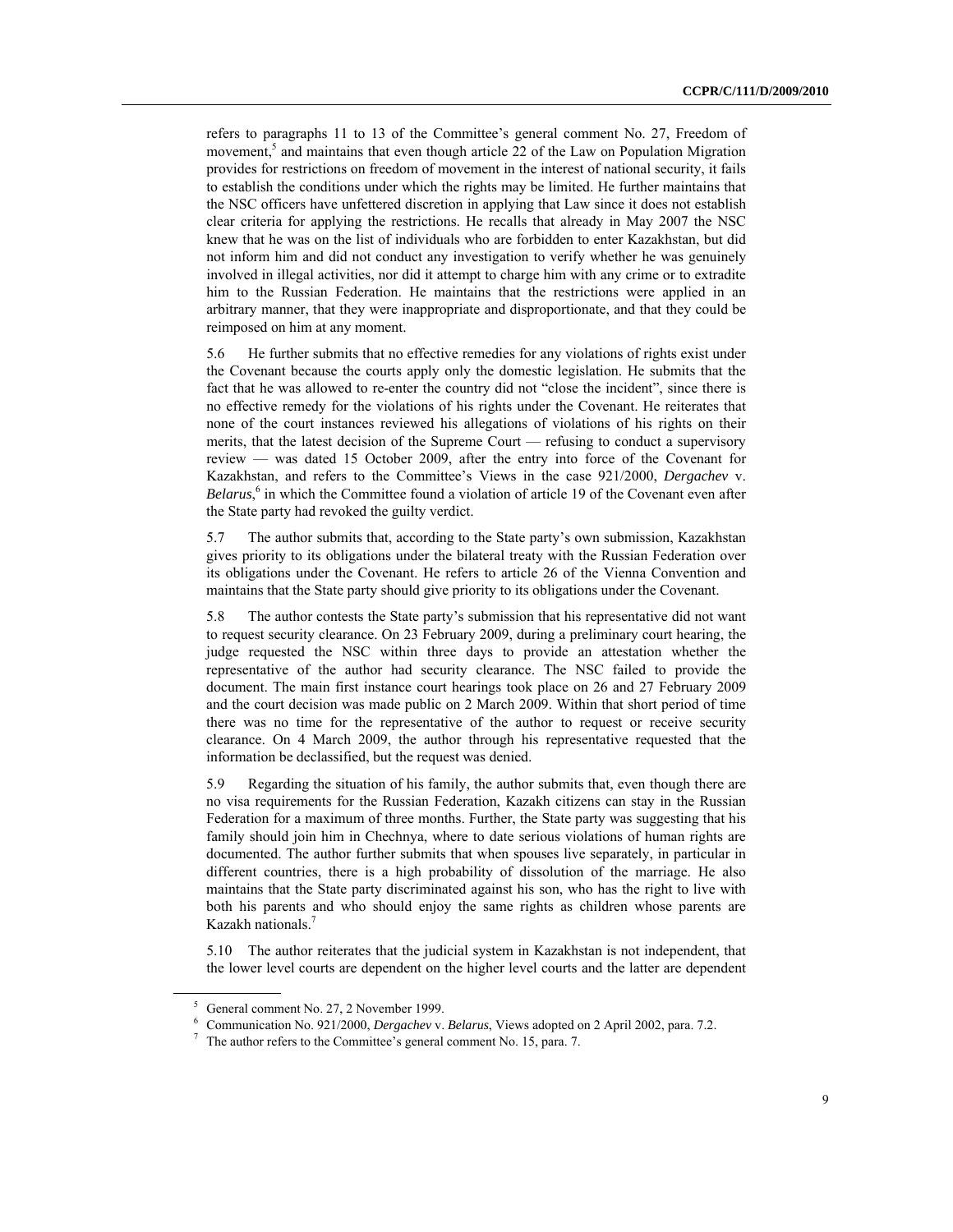refers to paragraphs 11 to 13 of the Committee's general comment No. 27, Freedom of movement,<sup>5</sup> and maintains that even though article 22 of the Law on Population Migration provides for restrictions on freedom of movement in the interest of national security, it fails to establish the conditions under which the rights may be limited. He further maintains that the NSC officers have unfettered discretion in applying that Law since it does not establish clear criteria for applying the restrictions. He recalls that already in May 2007 the NSC knew that he was on the list of individuals who are forbidden to enter Kazakhstan, but did not inform him and did not conduct any investigation to verify whether he was genuinely involved in illegal activities, nor did it attempt to charge him with any crime or to extradite him to the Russian Federation. He maintains that the restrictions were applied in an arbitrary manner, that they were inappropriate and disproportionate, and that they could be reimposed on him at any moment.

5.6 He further submits that no effective remedies for any violations of rights exist under the Covenant because the courts apply only the domestic legislation. He submits that the fact that he was allowed to re-enter the country did not "close the incident", since there is no effective remedy for the violations of his rights under the Covenant. He reiterates that none of the court instances reviewed his allegations of violations of his rights on their merits, that the latest decision of the Supreme Court — refusing to conduct a supervisory review — was dated 15 October 2009, after the entry into force of the Covenant for Kazakhstan, and refers to the Committee's Views in the case 921/2000, *Dergachev* v. Belarus,<sup>6</sup> in which the Committee found a violation of article 19 of the Covenant even after the State party had revoked the guilty verdict.

5.7 The author submits that, according to the State party's own submission, Kazakhstan gives priority to its obligations under the bilateral treaty with the Russian Federation over its obligations under the Covenant. He refers to article 26 of the Vienna Convention and maintains that the State party should give priority to its obligations under the Covenant.

5.8 The author contests the State party's submission that his representative did not want to request security clearance. On 23 February 2009, during a preliminary court hearing, the judge requested the NSC within three days to provide an attestation whether the representative of the author had security clearance. The NSC failed to provide the document. The main first instance court hearings took place on 26 and 27 February 2009 and the court decision was made public on 2 March 2009. Within that short period of time there was no time for the representative of the author to request or receive security clearance. On 4 March 2009, the author through his representative requested that the information be declassified, but the request was denied.

5.9 Regarding the situation of his family, the author submits that, even though there are no visa requirements for the Russian Federation, Kazakh citizens can stay in the Russian Federation for a maximum of three months. Further, the State party was suggesting that his family should join him in Chechnya, where to date serious violations of human rights are documented. The author further submits that when spouses live separately, in particular in different countries, there is a high probability of dissolution of the marriage. He also maintains that the State party discriminated against his son, who has the right to live with both his parents and who should enjoy the same rights as children whose parents are Kazakh nationals.<sup>7</sup>

5.10 The author reiterates that the judicial system in Kazakhstan is not independent, that the lower level courts are dependent on the higher level courts and the latter are dependent

<sup>5</sup> General comment No. 27, 2 November 1999.

<sup>&</sup>lt;sup>6</sup> Communication No. 921/2000, *Dergachev v. Belarus*, Views adopted on 2 April 2002, para. 7.2.

 $7$  The author refers to the Committee's general comment No. 15, para. 7.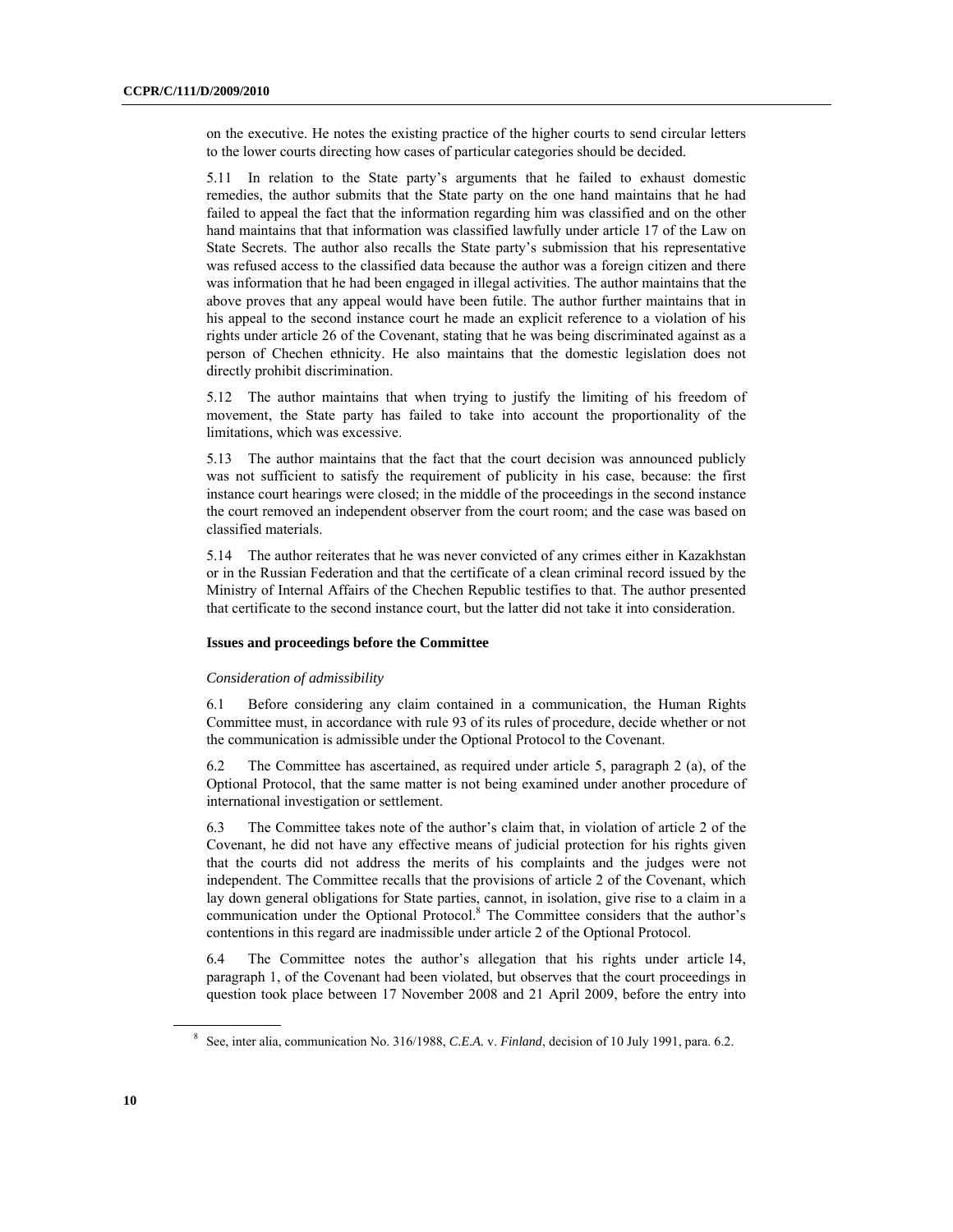on the executive. He notes the existing practice of the higher courts to send circular letters to the lower courts directing how cases of particular categories should be decided.

5.11 In relation to the State party's arguments that he failed to exhaust domestic remedies, the author submits that the State party on the one hand maintains that he had failed to appeal the fact that the information regarding him was classified and on the other hand maintains that that information was classified lawfully under article 17 of the Law on State Secrets. The author also recalls the State party's submission that his representative was refused access to the classified data because the author was a foreign citizen and there was information that he had been engaged in illegal activities. The author maintains that the above proves that any appeal would have been futile. The author further maintains that in his appeal to the second instance court he made an explicit reference to a violation of his rights under article 26 of the Covenant, stating that he was being discriminated against as a person of Chechen ethnicity. He also maintains that the domestic legislation does not directly prohibit discrimination.

5.12 The author maintains that when trying to justify the limiting of his freedom of movement, the State party has failed to take into account the proportionality of the limitations, which was excessive.

5.13 The author maintains that the fact that the court decision was announced publicly was not sufficient to satisfy the requirement of publicity in his case, because: the first instance court hearings were closed; in the middle of the proceedings in the second instance the court removed an independent observer from the court room; and the case was based on classified materials.

5.14 The author reiterates that he was never convicted of any crimes either in Kazakhstan or in the Russian Federation and that the certificate of a clean criminal record issued by the Ministry of Internal Affairs of the Chechen Republic testifies to that. The author presented that certificate to the second instance court, but the latter did not take it into consideration.

#### **Issues and proceedings before the Committee**

#### *Consideration of admissibility*

6.1 Before considering any claim contained in a communication, the Human Rights Committee must, in accordance with rule 93 of its rules of procedure, decide whether or not the communication is admissible under the Optional Protocol to the Covenant.

6.2 The Committee has ascertained, as required under article 5, paragraph 2 (a), of the Optional Protocol, that the same matter is not being examined under another procedure of international investigation or settlement.

6.3 The Committee takes note of the author's claim that, in violation of article 2 of the Covenant, he did not have any effective means of judicial protection for his rights given that the courts did not address the merits of his complaints and the judges were not independent. The Committee recalls that the provisions of article 2 of the Covenant, which lay down general obligations for State parties, cannot, in isolation, give rise to a claim in a communication under the Optional Protocol.<sup>8</sup> The Committee considers that the author's contentions in this regard are inadmissible under article 2 of the Optional Protocol.

6.4 The Committee notes the author's allegation that his rights under article 14, paragraph 1, of the Covenant had been violated, but observes that the court proceedings in question took place between 17 November 2008 and 21 April 2009, before the entry into

<sup>8</sup> See, inter alia, communication No. 316/1988, *C.E.A.* v. *Finland*, decision of 10 July 1991, para. 6.2.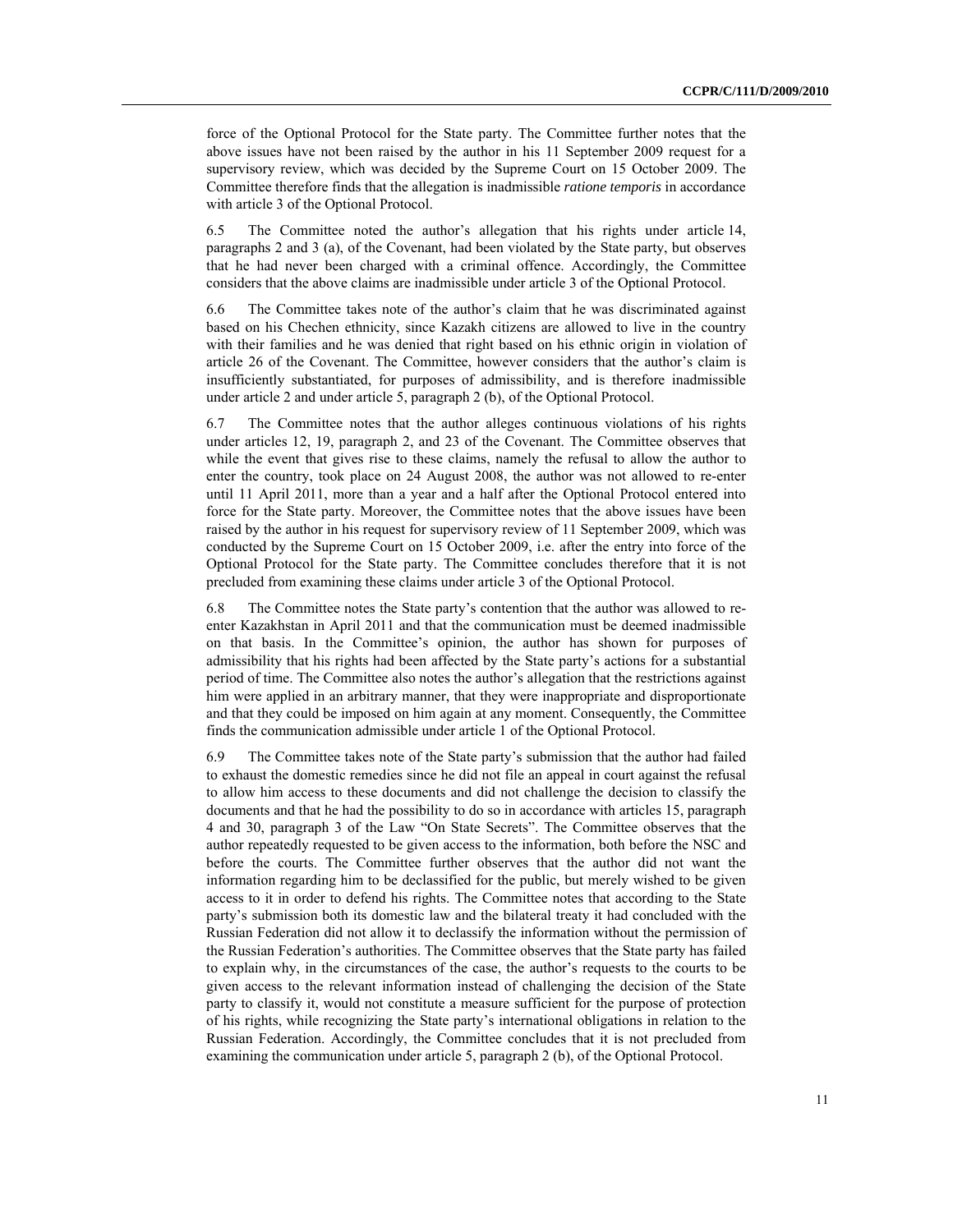force of the Optional Protocol for the State party. The Committee further notes that the above issues have not been raised by the author in his 11 September 2009 request for a supervisory review, which was decided by the Supreme Court on 15 October 2009. The Committee therefore finds that the allegation is inadmissible *ratione temporis* in accordance with article 3 of the Optional Protocol.

6.5 The Committee noted the author's allegation that his rights under article 14, paragraphs 2 and 3 (a), of the Covenant, had been violated by the State party, but observes that he had never been charged with a criminal offence. Accordingly, the Committee considers that the above claims are inadmissible under article 3 of the Optional Protocol.

6.6 The Committee takes note of the author's claim that he was discriminated against based on his Chechen ethnicity, since Kazakh citizens are allowed to live in the country with their families and he was denied that right based on his ethnic origin in violation of article 26 of the Covenant. The Committee, however considers that the author's claim is insufficiently substantiated, for purposes of admissibility, and is therefore inadmissible under article 2 and under article 5, paragraph 2 (b), of the Optional Protocol.

6.7 The Committee notes that the author alleges continuous violations of his rights under articles 12, 19, paragraph 2, and 23 of the Covenant. The Committee observes that while the event that gives rise to these claims, namely the refusal to allow the author to enter the country, took place on 24 August 2008, the author was not allowed to re-enter until 11 April 2011, more than a year and a half after the Optional Protocol entered into force for the State party. Moreover, the Committee notes that the above issues have been raised by the author in his request for supervisory review of 11 September 2009, which was conducted by the Supreme Court on 15 October 2009, i.e. after the entry into force of the Optional Protocol for the State party. The Committee concludes therefore that it is not precluded from examining these claims under article 3 of the Optional Protocol.

6.8 The Committee notes the State party's contention that the author was allowed to reenter Kazakhstan in April 2011 and that the communication must be deemed inadmissible on that basis. In the Committee's opinion, the author has shown for purposes of admissibility that his rights had been affected by the State party's actions for a substantial period of time. The Committee also notes the author's allegation that the restrictions against him were applied in an arbitrary manner, that they were inappropriate and disproportionate and that they could be imposed on him again at any moment. Consequently, the Committee finds the communication admissible under article 1 of the Optional Protocol.

6.9 The Committee takes note of the State party's submission that the author had failed to exhaust the domestic remedies since he did not file an appeal in court against the refusal to allow him access to these documents and did not challenge the decision to classify the documents and that he had the possibility to do so in accordance with articles 15, paragraph 4 and 30, paragraph 3 of the Law "On State Secrets". The Committee observes that the author repeatedly requested to be given access to the information, both before the NSC and before the courts. The Committee further observes that the author did not want the information regarding him to be declassified for the public, but merely wished to be given access to it in order to defend his rights. The Committee notes that according to the State party's submission both its domestic law and the bilateral treaty it had concluded with the Russian Federation did not allow it to declassify the information without the permission of the Russian Federation's authorities. The Committee observes that the State party has failed to explain why, in the circumstances of the case, the author's requests to the courts to be given access to the relevant information instead of challenging the decision of the State party to classify it, would not constitute a measure sufficient for the purpose of protection of his rights, while recognizing the State party's international obligations in relation to the Russian Federation. Accordingly, the Committee concludes that it is not precluded from examining the communication under article 5, paragraph 2 (b), of the Optional Protocol.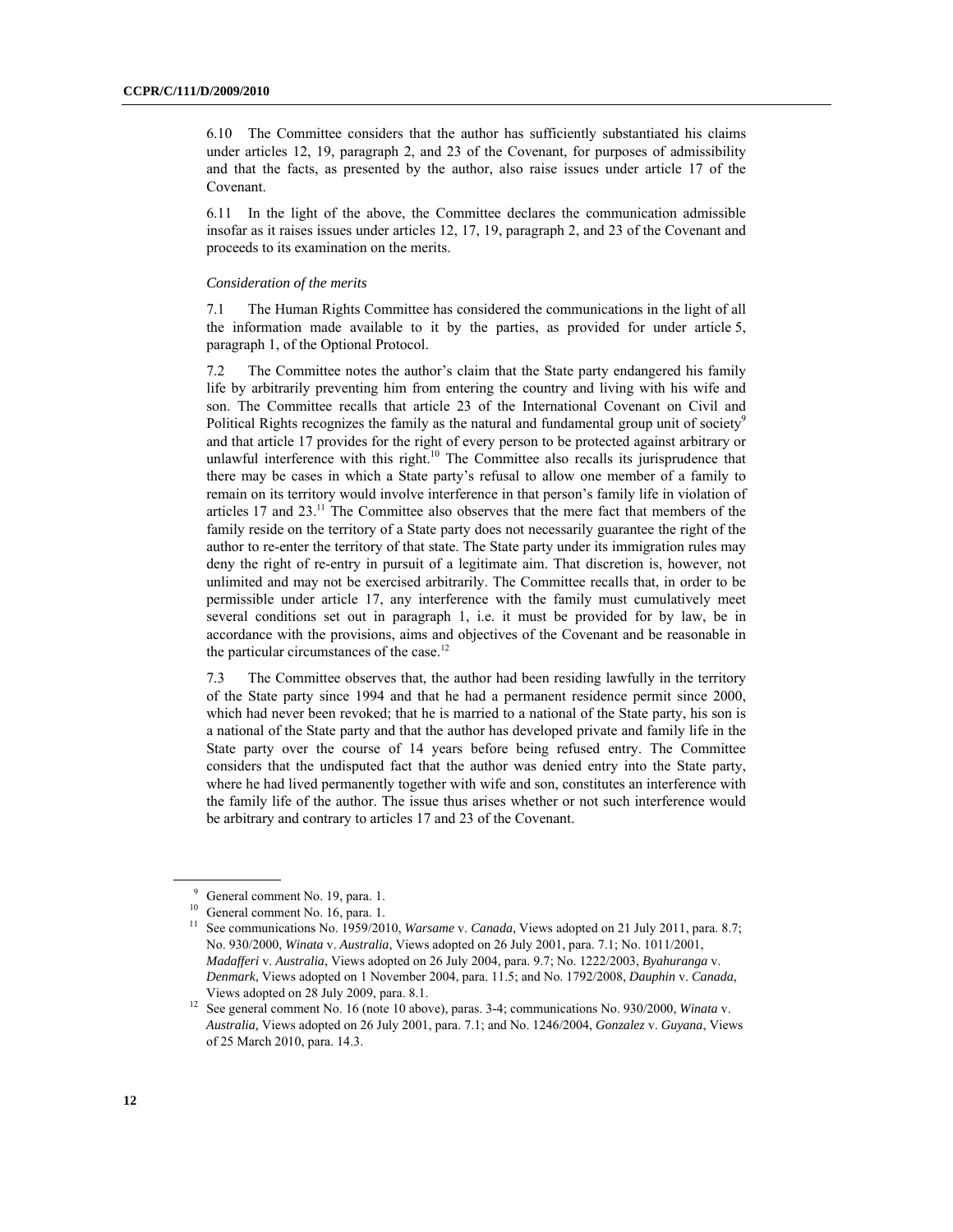6.10 The Committee considers that the author has sufficiently substantiated his claims under articles 12, 19, paragraph 2, and 23 of the Covenant, for purposes of admissibility and that the facts, as presented by the author, also raise issues under article 17 of the Covenant.

6.11 In the light of the above, the Committee declares the communication admissible insofar as it raises issues under articles 12, 17, 19, paragraph 2, and 23 of the Covenant and proceeds to its examination on the merits.

#### *Consideration of the merits*

7.1 The Human Rights Committee has considered the communications in the light of all the information made available to it by the parties, as provided for under article 5, paragraph 1, of the Optional Protocol.

7.2 The Committee notes the author's claim that the State party endangered his family life by arbitrarily preventing him from entering the country and living with his wife and son. The Committee recalls that article 23 of the International Covenant on Civil and Political Rights recognizes the family as the natural and fundamental group unit of society<sup>9</sup> and that article 17 provides for the right of every person to be protected against arbitrary or unlawful interference with this right.<sup>10</sup> The Committee also recalls its jurisprudence that there may be cases in which a State party's refusal to allow one member of a family to remain on its territory would involve interference in that person's family life in violation of articles  $17$  and  $23$ .<sup>11</sup> The Committee also observes that the mere fact that members of the family reside on the territory of a State party does not necessarily guarantee the right of the author to re-enter the territory of that state. The State party under its immigration rules may deny the right of re-entry in pursuit of a legitimate aim. That discretion is, however, not unlimited and may not be exercised arbitrarily. The Committee recalls that, in order to be permissible under article 17, any interference with the family must cumulatively meet several conditions set out in paragraph 1, i.e. it must be provided for by law, be in accordance with the provisions, aims and objectives of the Covenant and be reasonable in the particular circumstances of the case.<sup>12</sup>

7.3 The Committee observes that, the author had been residing lawfully in the territory of the State party since 1994 and that he had a permanent residence permit since 2000, which had never been revoked; that he is married to a national of the State party, his son is a national of the State party and that the author has developed private and family life in the State party over the course of 14 years before being refused entry. The Committee considers that the undisputed fact that the author was denied entry into the State party, where he had lived permanently together with wife and son, constitutes an interference with the family life of the author. The issue thus arises whether or not such interference would be arbitrary and contrary to articles 17 and 23 of the Covenant.

<sup>&</sup>lt;sup>9</sup> General comment No. 19, para. 1.

 $10$  General comment No. 16, para. 1.

<sup>11</sup> See communications No. 1959/2010, *Warsame* v. *Canada*, Views adopted on 21 July 2011, para. 8.7; No. 930/2000, *Winata* v. *Australia*, Views adopted on 26 July 2001, para. 7.1; No. 1011/2001, *Madafferi* v. *Australia*, Views adopted on 26 July 2004, para. 9.7; No. 1222/2003, *Byahuranga* v. *Denmark*, Views adopted on 1 November 2004, para. 11.5; and No. 1792/2008, *Dauphin* v. *Canada*, Views adopted on 28 July 2009, para. 8.1. 12 See general comment No. 16 (note 10 above), paras. 3-4; communications No. 930/2000, *Winata* v.

*Australia,* Views adopted on 26 July 2001, para. 7.1; and No. 1246/2004, *Gonzalez* v. *Guyana*, Views of 25 March 2010, para. 14.3.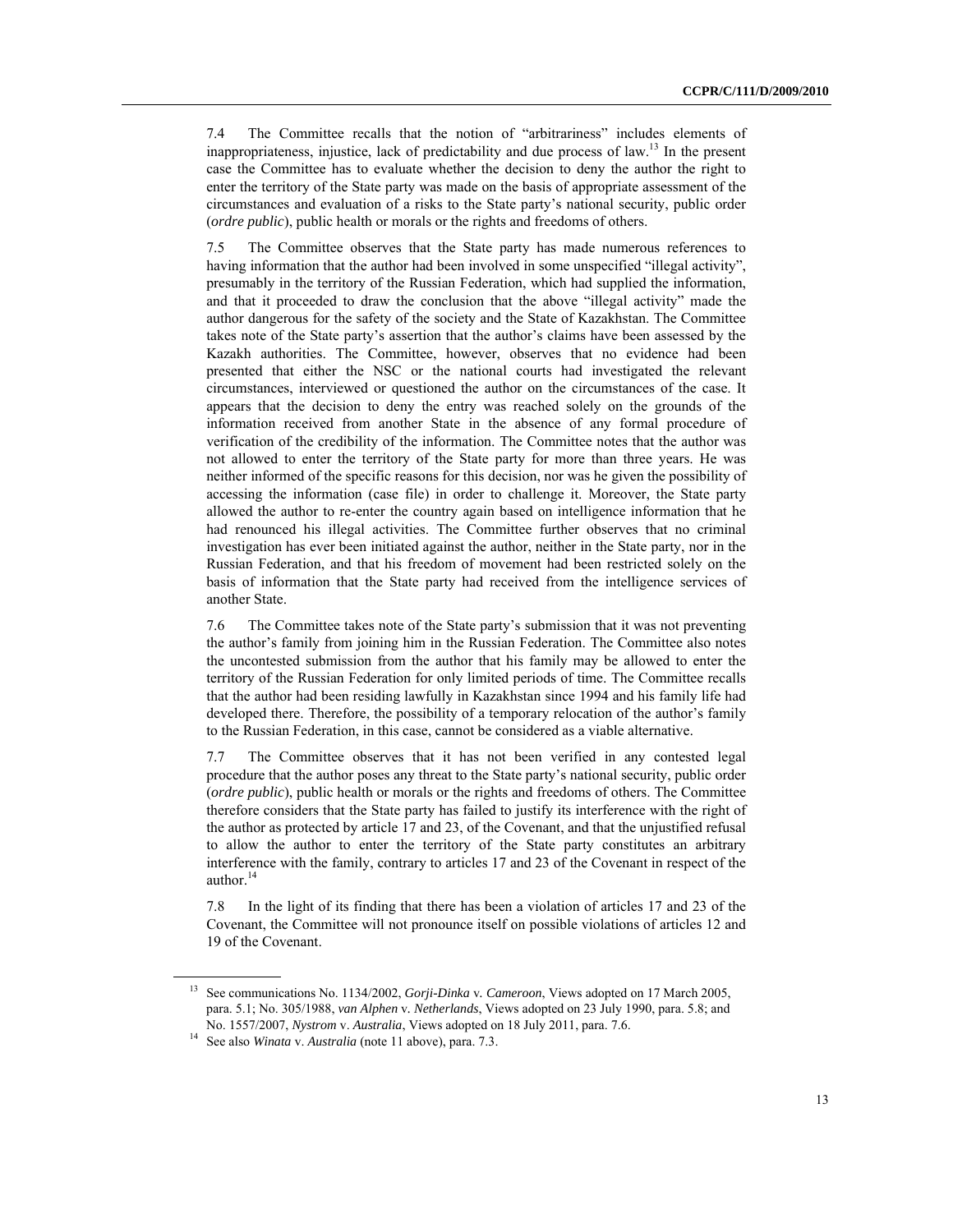7.4 The Committee recalls that the notion of "arbitrariness" includes elements of inappropriateness, injustice, lack of predictability and due process of law.<sup>13</sup> In the present case the Committee has to evaluate whether the decision to deny the author the right to enter the territory of the State party was made on the basis of appropriate assessment of the circumstances and evaluation of a risks to the State party's national security, public order (*ordre public*), public health or morals or the rights and freedoms of others.

7.5 The Committee observes that the State party has made numerous references to having information that the author had been involved in some unspecified "illegal activity", presumably in the territory of the Russian Federation, which had supplied the information, and that it proceeded to draw the conclusion that the above "illegal activity" made the author dangerous for the safety of the society and the State of Kazakhstan. The Committee takes note of the State party's assertion that the author's claims have been assessed by the Kazakh authorities. The Committee, however, observes that no evidence had been presented that either the NSC or the national courts had investigated the relevant circumstances, interviewed or questioned the author on the circumstances of the case. It appears that the decision to deny the entry was reached solely on the grounds of the information received from another State in the absence of any formal procedure of verification of the credibility of the information. The Committee notes that the author was not allowed to enter the territory of the State party for more than three years. He was neither informed of the specific reasons for this decision, nor was he given the possibility of accessing the information (case file) in order to challenge it. Moreover, the State party allowed the author to re-enter the country again based on intelligence information that he had renounced his illegal activities. The Committee further observes that no criminal investigation has ever been initiated against the author, neither in the State party, nor in the Russian Federation, and that his freedom of movement had been restricted solely on the basis of information that the State party had received from the intelligence services of another State.

7.6 The Committee takes note of the State party's submission that it was not preventing the author's family from joining him in the Russian Federation. The Committee also notes the uncontested submission from the author that his family may be allowed to enter the territory of the Russian Federation for only limited periods of time. The Committee recalls that the author had been residing lawfully in Kazakhstan since 1994 and his family life had developed there. Therefore, the possibility of a temporary relocation of the author's family to the Russian Federation, in this case, cannot be considered as a viable alternative.

7.7 The Committee observes that it has not been verified in any contested legal procedure that the author poses any threat to the State party's national security, public order (*ordre public*), public health or morals or the rights and freedoms of others. The Committee therefore considers that the State party has failed to justify its interference with the right of the author as protected by article 17 and 23, of the Covenant, and that the unjustified refusal to allow the author to enter the territory of the State party constitutes an arbitrary interference with the family, contrary to articles 17 and 23 of the Covenant in respect of the author.<sup>14</sup>

7.8 In the light of its finding that there has been a violation of articles 17 and 23 of the Covenant, the Committee will not pronounce itself on possible violations of articles 12 and 19 of the Covenant.

<sup>13</sup> See communications No. 1134/2002, *Gorji-Dinka* v*. Cameroon*, Views adopted on 17 March 2005, para. 5.1; No. 305/1988, *van Alphen* v*. Netherlands*, Views adopted on 23 July 1990, para. 5.8; and No. 1557/2007, *Nystrom* v. *Australia*, Views adopted on 18 July 2011, para. 7.6. 14 See also *Winata* v. *Australia* (note 11 above), para. 7.3.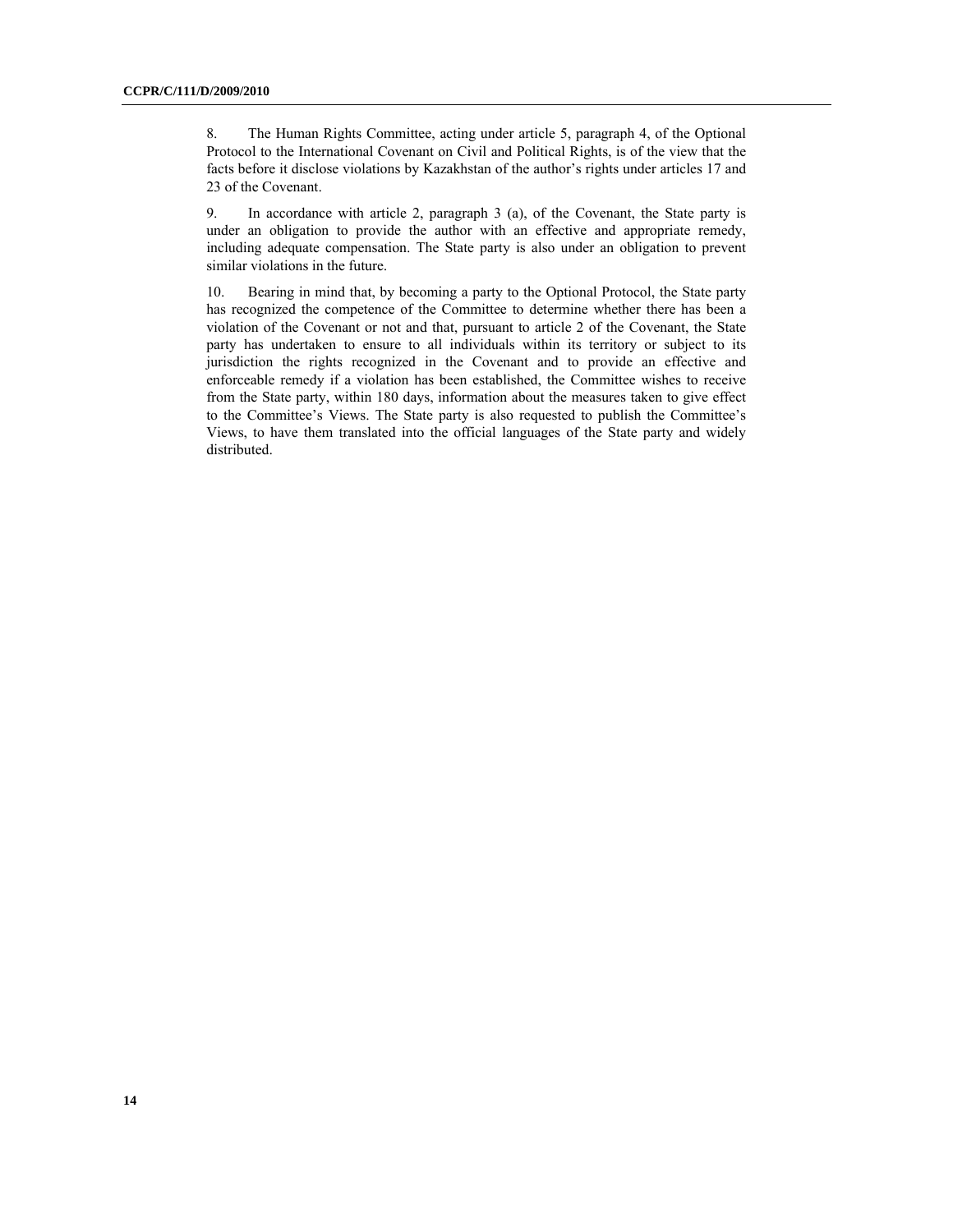8. The Human Rights Committee, acting under article 5, paragraph 4, of the Optional Protocol to the International Covenant on Civil and Political Rights, is of the view that the facts before it disclose violations by Kazakhstan of the author's rights under articles 17 and 23 of the Covenant.

9. In accordance with article 2, paragraph 3 (a), of the Covenant, the State party is under an obligation to provide the author with an effective and appropriate remedy, including adequate compensation. The State party is also under an obligation to prevent similar violations in the future.

10. Bearing in mind that, by becoming a party to the Optional Protocol, the State party has recognized the competence of the Committee to determine whether there has been a violation of the Covenant or not and that, pursuant to article 2 of the Covenant, the State party has undertaken to ensure to all individuals within its territory or subject to its jurisdiction the rights recognized in the Covenant and to provide an effective and enforceable remedy if a violation has been established, the Committee wishes to receive from the State party, within 180 days, information about the measures taken to give effect to the Committee's Views. The State party is also requested to publish the Committee's Views, to have them translated into the official languages of the State party and widely distributed.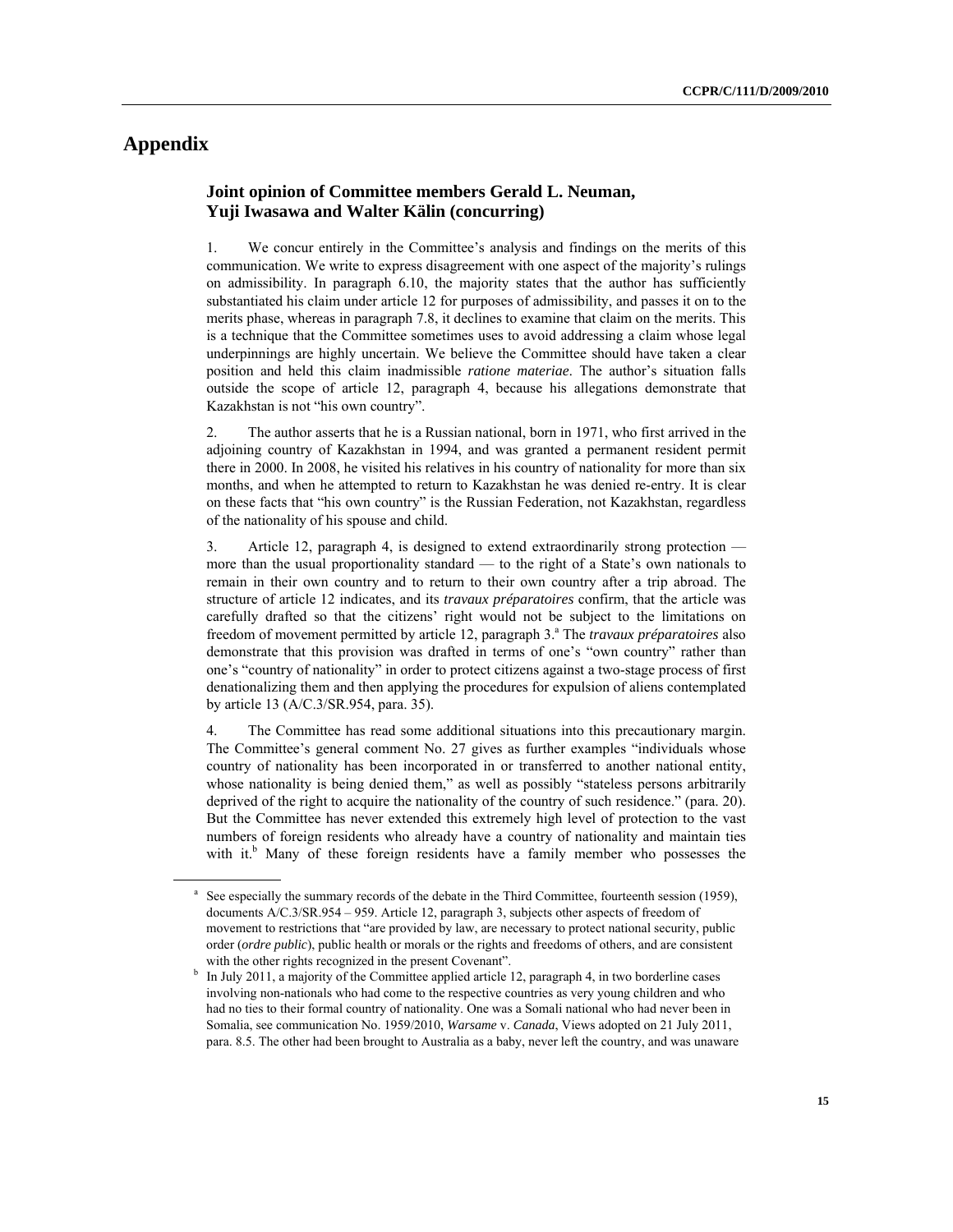# **Appendix**

 $\overline{a}$ 

### **Joint opinion of Committee members Gerald L. Neuman, Yuji Iwasawa and Walter Kälin (concurring)**

1. We concur entirely in the Committee's analysis and findings on the merits of this communication. We write to express disagreement with one aspect of the majority's rulings on admissibility. In paragraph 6.10, the majority states that the author has sufficiently substantiated his claim under article 12 for purposes of admissibility, and passes it on to the merits phase, whereas in paragraph 7.8, it declines to examine that claim on the merits. This is a technique that the Committee sometimes uses to avoid addressing a claim whose legal underpinnings are highly uncertain. We believe the Committee should have taken a clear position and held this claim inadmissible *ratione materiae*. The author's situation falls outside the scope of article 12, paragraph 4, because his allegations demonstrate that Kazakhstan is not "his own country".

2. The author asserts that he is a Russian national, born in 1971, who first arrived in the adjoining country of Kazakhstan in 1994, and was granted a permanent resident permit there in 2000. In 2008, he visited his relatives in his country of nationality for more than six months, and when he attempted to return to Kazakhstan he was denied re-entry. It is clear on these facts that "his own country" is the Russian Federation, not Kazakhstan, regardless of the nationality of his spouse and child.

3. Article 12, paragraph 4, is designed to extend extraordinarily strong protection more than the usual proportionality standard — to the right of a State's own nationals to remain in their own country and to return to their own country after a trip abroad. The structure of article 12 indicates, and its *travaux préparatoires* confirm, that the article was carefully drafted so that the citizens' right would not be subject to the limitations on freedom of movement permitted by article 12, paragraph 3.<sup>ª</sup> The *travaux préparatoires* also demonstrate that this provision was drafted in terms of one's "own country" rather than one's "country of nationality" in order to protect citizens against a two-stage process of first denationalizing them and then applying the procedures for expulsion of aliens contemplated by article 13 (A/C.3/SR.954, para. 35).

4. The Committee has read some additional situations into this precautionary margin. The Committee's general comment No. 27 gives as further examples "individuals whose country of nationality has been incorporated in or transferred to another national entity, whose nationality is being denied them," as well as possibly "stateless persons arbitrarily deprived of the right to acquire the nationality of the country of such residence." (para. 20). But the Committee has never extended this extremely high level of protection to the vast numbers of foreign residents who already have a country of nationality and maintain ties with it.<sup>b</sup> Many of these foreign residents have a family member who possesses the

a See especially the summary records of the debate in the Third Committee, fourteenth session (1959), documents A/C.3/SR.954 – 959. Article 12, paragraph 3, subjects other aspects of freedom of movement to restrictions that "are provided by law, are necessary to protect national security, public order (*ordre public*), public health or morals or the rights and freedoms of others, and are consistent

with the other rights recognized in the present Covenant".<br><sup>b</sup> In July 2011, a majority of the Committee applied article 12, paragraph 4, in two borderline cases involving non-nationals who had come to the respective countries as very young children and who had no ties to their formal country of nationality. One was a Somali national who had never been in Somalia, see communication No. 1959/2010, *Warsame* v. *Canada*, Views adopted on 21 July 2011, para. 8.5. The other had been brought to Australia as a baby, never left the country, and was unaware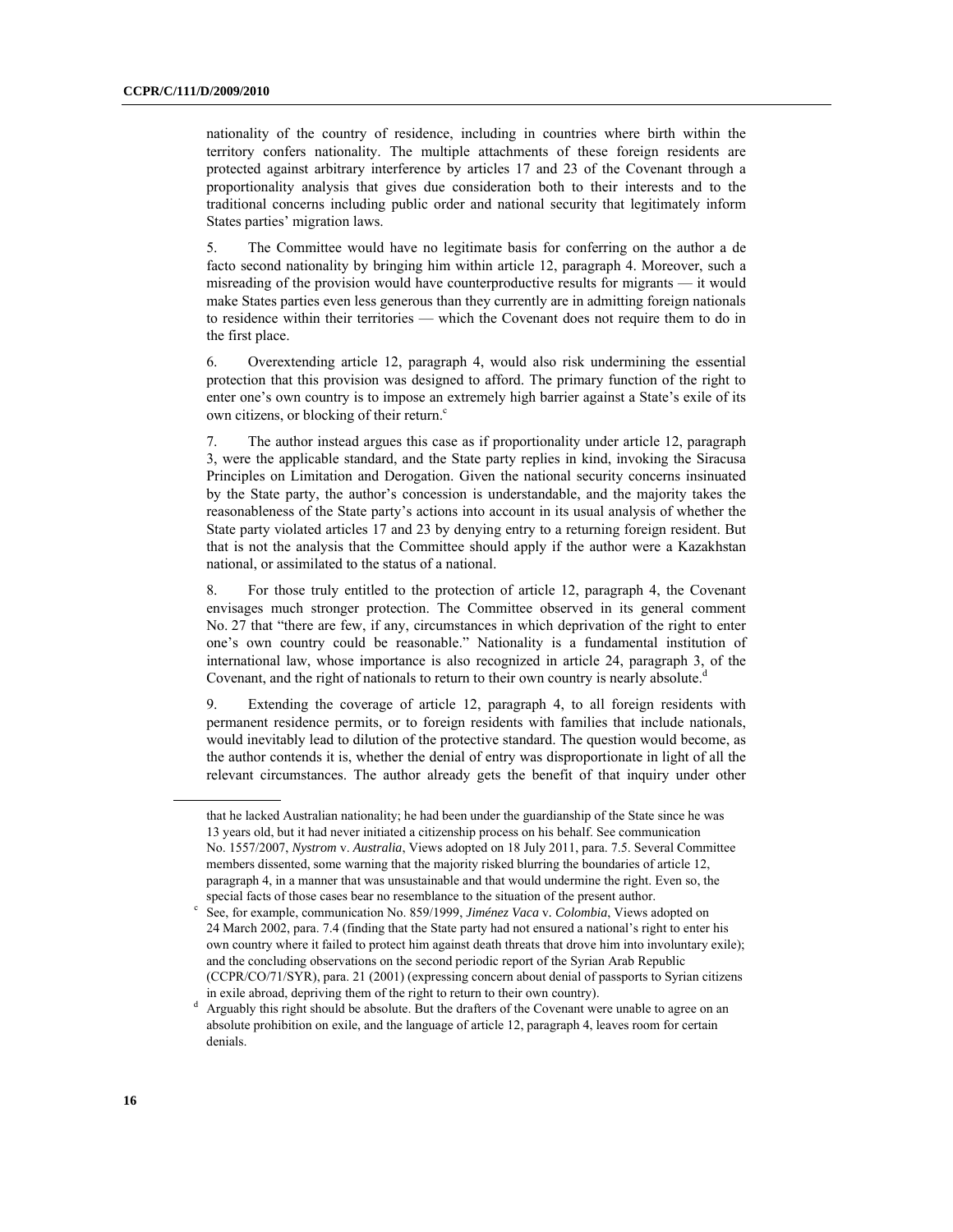nationality of the country of residence, including in countries where birth within the territory confers nationality. The multiple attachments of these foreign residents are protected against arbitrary interference by articles 17 and 23 of the Covenant through a proportionality analysis that gives due consideration both to their interests and to the traditional concerns including public order and national security that legitimately inform States parties' migration laws.

5. The Committee would have no legitimate basis for conferring on the author a de facto second nationality by bringing him within article 12, paragraph 4. Moreover, such a misreading of the provision would have counterproductive results for migrants — it would make States parties even less generous than they currently are in admitting foreign nationals to residence within their territories — which the Covenant does not require them to do in the first place.

6. Overextending article 12, paragraph 4, would also risk undermining the essential protection that this provision was designed to afford. The primary function of the right to enter one's own country is to impose an extremely high barrier against a State's exile of its own citizens, or blocking of their return.<sup>c</sup>

7. The author instead argues this case as if proportionality under article 12, paragraph 3, were the applicable standard, and the State party replies in kind, invoking the Siracusa Principles on Limitation and Derogation. Given the national security concerns insinuated by the State party, the author's concession is understandable, and the majority takes the reasonableness of the State party's actions into account in its usual analysis of whether the State party violated articles 17 and 23 by denying entry to a returning foreign resident. But that is not the analysis that the Committee should apply if the author were a Kazakhstan national, or assimilated to the status of a national.

8. For those truly entitled to the protection of article 12, paragraph 4, the Covenant envisages much stronger protection. The Committee observed in its general comment No. 27 that "there are few, if any, circumstances in which deprivation of the right to enter one's own country could be reasonable." Nationality is a fundamental institution of international law, whose importance is also recognized in article 24, paragraph 3, of the Covenant, and the right of nationals to return to their own country is nearly absolute. $d$ 

9. Extending the coverage of article 12, paragraph 4, to all foreign residents with permanent residence permits, or to foreign residents with families that include nationals, would inevitably lead to dilution of the protective standard. The question would become, as the author contends it is, whether the denial of entry was disproportionate in light of all the relevant circumstances. The author already gets the benefit of that inquiry under other

that he lacked Australian nationality; he had been under the guardianship of the State since he was 13 years old, but it had never initiated a citizenship process on his behalf. See communication No. 1557/2007, *Nystrom* v. *Australia*, Views adopted on 18 July 2011, para. 7.5. Several Committee members dissented, some warning that the majority risked blurring the boundaries of article 12, paragraph 4, in a manner that was unsustainable and that would undermine the right. Even so, the special facts of those cases bear no resemblance to the situation of the present author.

See, for example, communication No. 859/1999, *Jiménez Vaca* v*. Colombia*, Views adopted on 24 March 2002, para. 7.4 (finding that the State party had not ensured a national's right to enter his own country where it failed to protect him against death threats that drove him into involuntary exile); and the concluding observations on the second periodic report of the Syrian Arab Republic (CCPR/CO/71/SYR), para. 21 (2001) (expressing concern about denial of passports to Syrian citizens in exile abroad, depriving them of the right to return to their own country).<br> $\frac{d}{dx}$  Arguably this right should be absolute. But the drafters of the Covenant we

Arguably this right should be absolute. But the drafters of the Covenant were unable to agree on an absolute prohibition on exile, and the language of article 12, paragraph 4, leaves room for certain denials.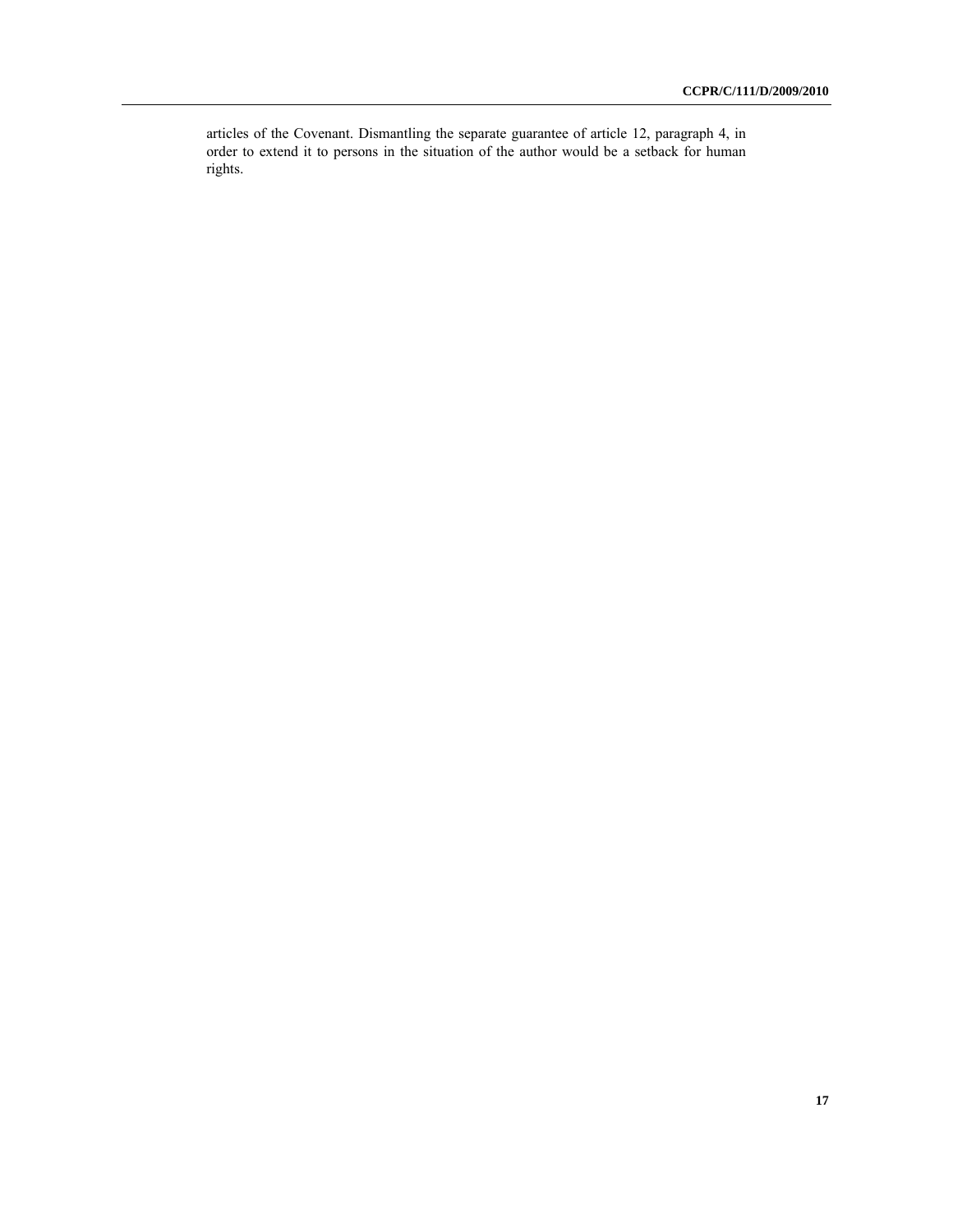articles of the Covenant. Dismantling the separate guarantee of article 12, paragraph 4, in order to extend it to persons in the situation of the author would be a setback for human rights.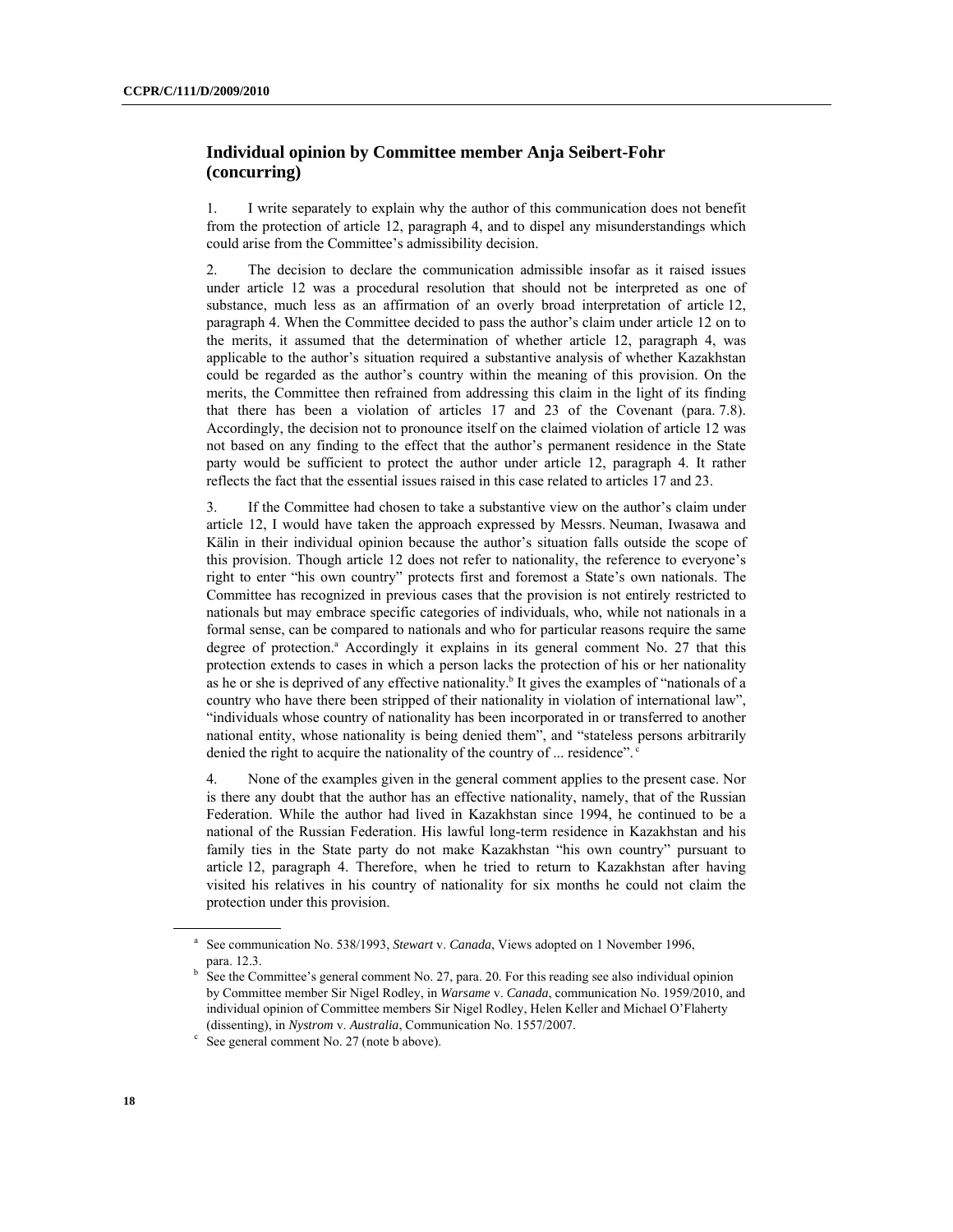### **Individual opinion by Committee member Anja Seibert-Fohr (concurring)**

1. I write separately to explain why the author of this communication does not benefit from the protection of article 12, paragraph 4, and to dispel any misunderstandings which could arise from the Committee's admissibility decision.

2. The decision to declare the communication admissible insofar as it raised issues under article 12 was a procedural resolution that should not be interpreted as one of substance, much less as an affirmation of an overly broad interpretation of article 12, paragraph 4. When the Committee decided to pass the author's claim under article 12 on to the merits, it assumed that the determination of whether article 12, paragraph 4, was applicable to the author's situation required a substantive analysis of whether Kazakhstan could be regarded as the author's country within the meaning of this provision. On the merits, the Committee then refrained from addressing this claim in the light of its finding that there has been a violation of articles 17 and 23 of the Covenant (para. 7.8). Accordingly, the decision not to pronounce itself on the claimed violation of article 12 was not based on any finding to the effect that the author's permanent residence in the State party would be sufficient to protect the author under article 12, paragraph 4. It rather reflects the fact that the essential issues raised in this case related to articles 17 and 23.

3. If the Committee had chosen to take a substantive view on the author's claim under article 12, I would have taken the approach expressed by Messrs. Neuman, Iwasawa and Kälin in their individual opinion because the author's situation falls outside the scope of this provision. Though article 12 does not refer to nationality, the reference to everyone's right to enter "his own country" protects first and foremost a State's own nationals. The Committee has recognized in previous cases that the provision is not entirely restricted to nationals but may embrace specific categories of individuals, who, while not nationals in a formal sense, can be compared to nationals and who for particular reasons require the same degree of protection.<sup>a</sup> Accordingly it explains in its general comment No. 27 that this protection extends to cases in which a person lacks the protection of his or her nationality as he or she is deprived of any effective nationality.<sup>b</sup> It gives the examples of "nationals of a country who have there been stripped of their nationality in violation of international law", "individuals whose country of nationality has been incorporated in or transferred to another national entity, whose nationality is being denied them", and "stateless persons arbitrarily denied the right to acquire the nationality of the country of ... residence".<sup>c</sup>

4. None of the examples given in the general comment applies to the present case. Nor is there any doubt that the author has an effective nationality, namely, that of the Russian Federation. While the author had lived in Kazakhstan since 1994, he continued to be a national of the Russian Federation. His lawful long-term residence in Kazakhstan and his family ties in the State party do not make Kazakhstan "his own country" pursuant to article 12, paragraph 4. Therefore, when he tried to return to Kazakhstan after having visited his relatives in his country of nationality for six months he could not claim the protection under this provision.

<sup>&</sup>lt;sup>a</sup> See communication No. 538/1993, *Stewart v. Canada*, Views adopted on 1 November 1996, para. 12.3. b

See the Committee's general comment No. 27, para. 20. For this reading see also individual opinion by Committee member Sir Nigel Rodley, in *Warsame* v. *Canada*, communication No. 1959/2010, and individual opinion of Committee members Sir Nigel Rodley, Helen Keller and Michael O'Flaherty (dissenting), in *Nystrom v. Australia*, Communication No. 1557/2007.

 $\degree$  See general comment No. 27 (note b above).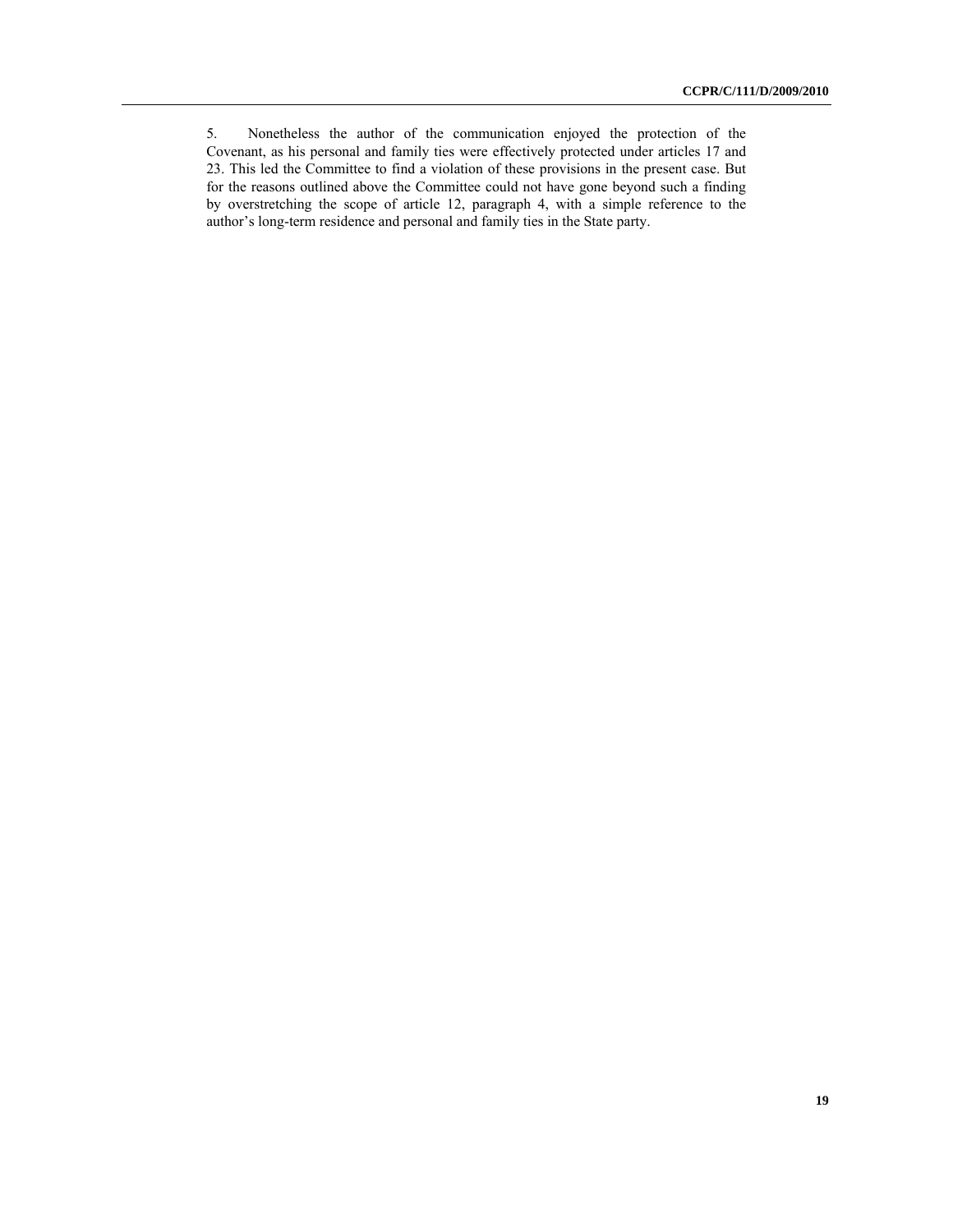<sup>5.</sup> Nonetheless the author of the communication enjoyed the protection of the Covenant, as his personal and family ties were effectively protected under articles 17 and 23. This led the Committee to find a violation of these provisions in the present case. But for the reasons outlined above the Committee could not have gone beyond such a finding by overstretching the scope of article 12, paragraph 4, with a simple reference to the author's long-term residence and personal and family ties in the State party.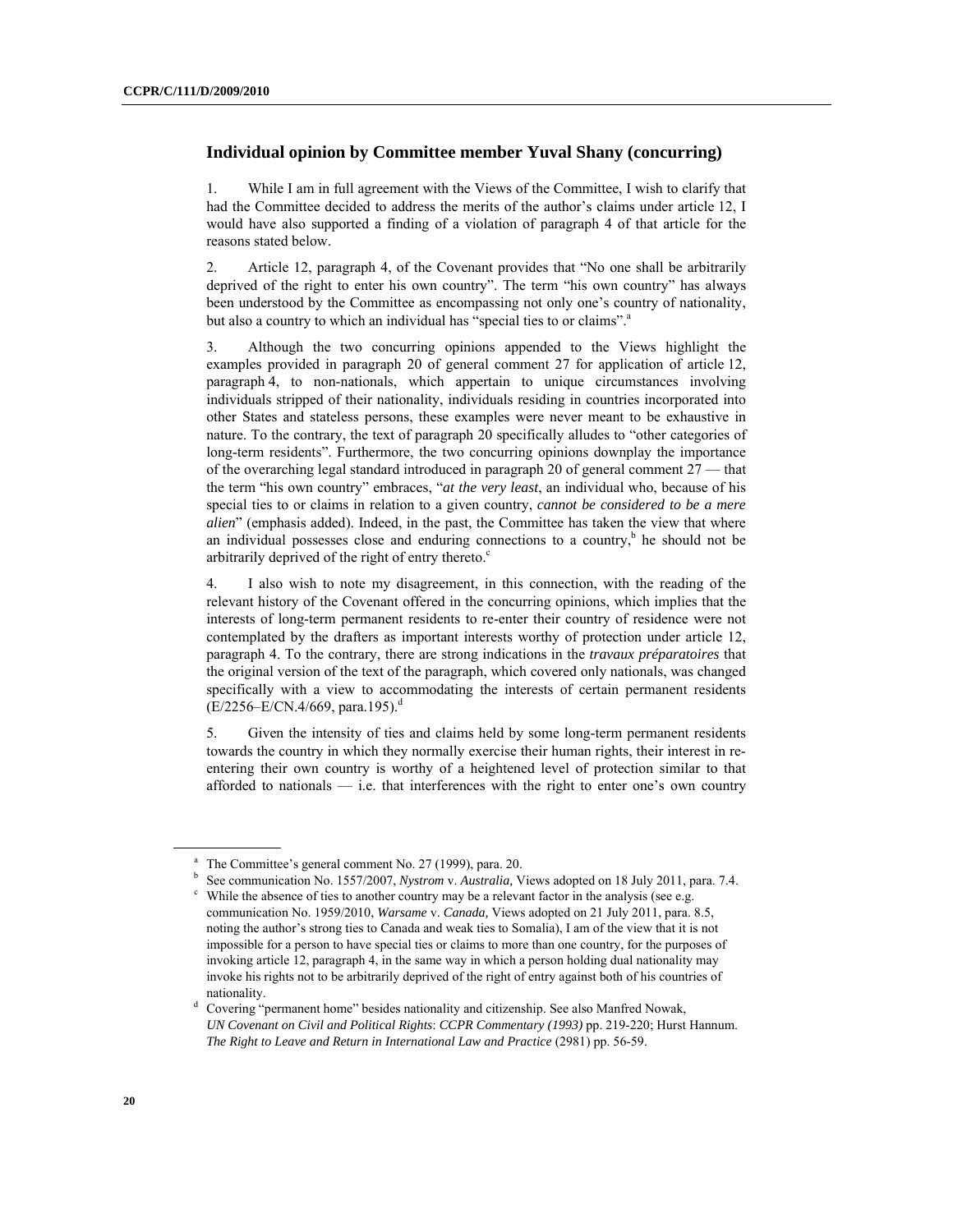#### **Individual opinion by Committee member Yuval Shany (concurring)**

1. While I am in full agreement with the Views of the Committee, I wish to clarify that had the Committee decided to address the merits of the author's claims under article 12, I would have also supported a finding of a violation of paragraph 4 of that article for the reasons stated below.

2. Article 12, paragraph 4, of the Covenant provides that "No one shall be arbitrarily deprived of the right to enter his own country". The term "his own country" has always been understood by the Committee as encompassing not only one's country of nationality, but also a country to which an individual has "special ties to or claims".<sup>a</sup>

3. Although the two concurring opinions appended to the Views highlight the examples provided in paragraph 20 of general comment 27 for application of article 12, paragraph 4, to non-nationals, which appertain to unique circumstances involving individuals stripped of their nationality, individuals residing in countries incorporated into other States and stateless persons, these examples were never meant to be exhaustive in nature. To the contrary, the text of paragraph 20 specifically alludes to "other categories of long-term residents". Furthermore, the two concurring opinions downplay the importance of the overarching legal standard introduced in paragraph 20 of general comment 27 — that the term "his own country" embraces, "*at the very least*, an individual who, because of his special ties to or claims in relation to a given country, *cannot be considered to be a mere alien*" (emphasis added). Indeed, in the past, the Committee has taken the view that where an individual possesses close and enduring connections to a country,<sup>b</sup> he should not be arbitrarily deprived of the right of entry thereto.<sup>c</sup>

4. I also wish to note my disagreement, in this connection, with the reading of the relevant history of the Covenant offered in the concurring opinions, which implies that the interests of long-term permanent residents to re-enter their country of residence were not contemplated by the drafters as important interests worthy of protection under article 12, paragraph 4. To the contrary, there are strong indications in the *travaux préparatoires* that the original version of the text of the paragraph, which covered only nationals, was changed specifically with a view to accommodating the interests of certain permanent residents  $(E/2256-E/CN.4/669, para.195).<sup>d</sup>$ 

5. Given the intensity of ties and claims held by some long-term permanent residents towards the country in which they normally exercise their human rights, their interest in reentering their own country is worthy of a heightened level of protection similar to that afforded to nationals  $-$  i.e. that interferences with the right to enter one's own country

a The Committee's general comment No. 27 (1999), para. 20.

b See communication No. 1557/2007, *Nystrom v. Australia*, Views adopted on 18 July 2011, para. 7.4.

 $\degree$  While the absence of ties to another country may be a relevant factor in the analysis (see e.g. communication No. 1959/2010, *Warsame* v. *Canada,* Views adopted on 21 July 2011, para. 8.5, noting the author's strong ties to Canada and weak ties to Somalia), I am of the view that it is not impossible for a person to have special ties or claims to more than one country, for the purposes of invoking article 12, paragraph 4, in the same way in which a person holding dual nationality may invoke his rights not to be arbitrarily deprived of the right of entry against both of his countries of nationality.<br>d Covering "permanent home" besides nationality and citizenship. See also Manfred Nowak,

*UN Covenant on Civil and Political Rights*: *CCPR Commentary (1993)* pp. 219-220; Hurst Hannum. *The Right to Leave and Return in International Law and Practice* (2981) pp. 56-59.